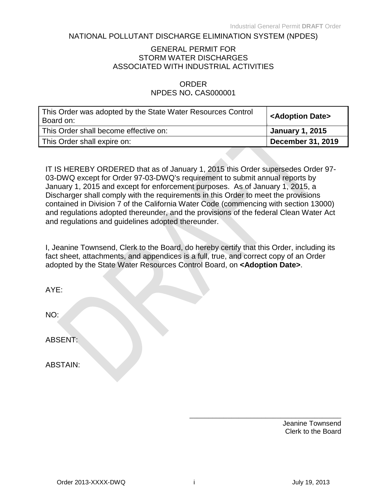#### NATIONAL POLLUTANT DISCHARGE ELIMINATION SYSTEM (NPDES)

#### GENERAL PERMIT FOR STORM WATER DISCHARGES ASSOCIATED WITH INDUSTRIAL ACTIVITIES

#### ORDER NPDES NO**.** CAS000001

| This Order was adopted by the State Water Resources Control<br>Board on: | <adoption date=""></adoption> |
|--------------------------------------------------------------------------|-------------------------------|
| This Order shall become effective on:                                    | <b>January 1, 2015</b>        |
| This Order shall expire on:                                              | <b>December 31, 2019</b>      |

IT IS HEREBY ORDERED that as of January 1, 2015 this Order supersedes Order 97- 03-DWQ except for Order 97-03-DWQ's requirement to submit annual reports by January 1, 2015 and except for enforcement purposes. As of January 1, 2015, a Discharger shall comply with the requirements in this Order to meet the provisions contained in Division 7 of the California Water Code (commencing with section 13000) and regulations adopted thereunder, and the provisions of the federal Clean Water Act and regulations and guidelines adopted thereunder.

I, Jeanine Townsend, Clerk to the Board, do hereby certify that this Order, including its fact sheet, attachments, and appendices is a full, true, and correct copy of an Order adopted by the State Water Resources Control Board, on **<Adoption Date>**.

| AYE:            |  |
|-----------------|--|
| NO:             |  |
| ABSENT:         |  |
| <b>ABSTAIN:</b> |  |

\_\_\_\_\_\_\_\_\_\_\_\_\_\_\_\_\_\_\_\_\_\_\_\_\_\_\_\_\_\_\_\_\_\_\_\_\_\_\_\_ Jeanine Townsend Clerk to the Board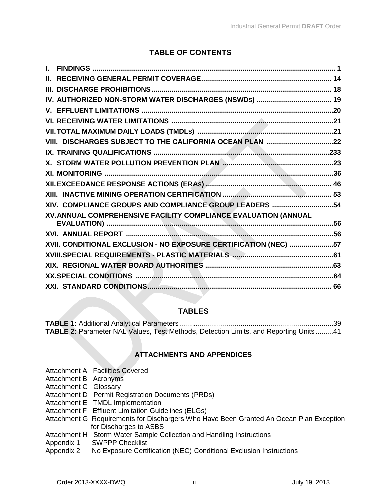## **TABLE OF CONTENTS**

| VIII. DISCHARGES SUBJECT TO THE CALIFORNIA OCEAN PLAN 22         |  |
|------------------------------------------------------------------|--|
|                                                                  |  |
|                                                                  |  |
|                                                                  |  |
|                                                                  |  |
|                                                                  |  |
| XIV. COMPLIANCE GROUPS AND COMPLIANCE GROUP LEADERS 54           |  |
| XV. ANNUAL COMPREHENSIVE FACILITY COMPLIANCE EVALUATION (ANNUAL  |  |
|                                                                  |  |
|                                                                  |  |
| XVII. CONDITIONAL EXCLUSION - NO EXPOSURE CERTIFICATION (NEC) 57 |  |
|                                                                  |  |
|                                                                  |  |
|                                                                  |  |
|                                                                  |  |

### **TABLES**

| TABLE 2: Parameter NAL Values, Test Methods, Detection Limits, and Reporting Units41 |  |
|--------------------------------------------------------------------------------------|--|

#### **ATTACHMENTS AND APPENDICES**

- Attachment A Facilities Covered
- Attachment B Acronyms
- Attachment C Glossary
- Attachment D Permit Registration Documents (PRDs)
- Attachment E TMDL Implementation
- Attachment F Effluent Limitation Guidelines (ELGs)
- Attachment G Requirements for Dischargers Who Have Been Granted An Ocean Plan Exception for Discharges to ASBS
- Attachment H Storm Water Sample Collection and Handling Instructions
- Appendix 1 SWPPP Checklist
- Appendix 2 No Exposure Certification (NEC) Conditional Exclusion Instructions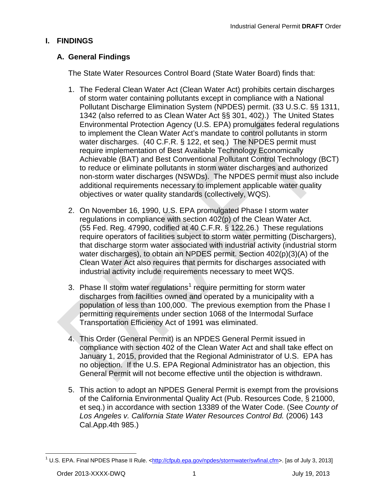## <span id="page-2-0"></span>**I. FINDINGS**

## **A. General Findings**

The State Water Resources Control Board (State Water Board) finds that:

- 1. The Federal Clean Water Act (Clean Water Act) prohibits certain discharges of storm water containing pollutants except in compliance with a National Pollutant Discharge Elimination System (NPDES) permit. (33 U.S.C. §§ 1311, 1342 (also referred to as Clean Water Act §§ 301, 402).) The United States Environmental Protection Agency (U.S. EPA) promulgates federal regulations to implement the Clean Water Act's mandate to control pollutants in storm water discharges. (40 C.F.R. § 122, et seq.) The NPDES permit must require implementation of Best Available Technology Economically Achievable (BAT) and Best Conventional Pollutant Control Technology (BCT) to reduce or eliminate pollutants in storm water discharges and authorized non-storm water discharges (NSWDs). The NPDES permit must also include additional requirements necessary to implement applicable water quality objectives or water quality standards (collectively, WQS).
- 2. On November 16, 1990, U.S. EPA promulgated Phase I storm water regulations in compliance with section 402(p) of the Clean Water Act. (55 Fed. Reg. 47990, codified at 40 C.F.R. § 122.26.) These regulations require operators of facilities subject to storm water permitting (Dischargers), that discharge storm water associated with industrial activity (industrial storm water discharges), to obtain an NPDES permit. Section 402(p)(3)(A) of the Clean Water Act also requires that permits for discharges associated with industrial activity include requirements necessary to meet WQS.
- 3. Phase II storm water regulations<sup>[1](#page-2-1)</sup> require permitting for storm water discharges from facilities owned and operated by a municipality with a population of less than 100,000. The previous exemption from the Phase I permitting requirements under section 1068 of the Intermodal Surface Transportation Efficiency Act of 1991 was eliminated.
- 4. This Order (General Permit) is an NPDES General Permit issued in compliance with section 402 of the Clean Water Act and shall take effect on January 1, 2015, provided that the Regional Administrator of U.S. EPA has no objection. If the U.S. EPA Regional Administrator has an objection, this General Permit will not become effective until the objection is withdrawn.
- 5. This action to adopt an NPDES General Permit is exempt from the provisions of the California Environmental Quality Act (Pub. Resources Code, § 21000, et seq.) in accordance with section 13389 of the Water Code. (See *County of Los Angeles v. California State Water Resources Control Bd.* (2006) 143 Cal.App.4th 985.)

<span id="page-2-1"></span><sup>&</sup>lt;sup>1</sup> U.S. EPA. Final NPDES Phase II Rule. [<http://cfpub.epa.gov/npdes/stormwater/swfinal.cfm>](http://cfpub.epa.gov/npdes/stormwater/swfinal.cfm). [as of July 3, 2013]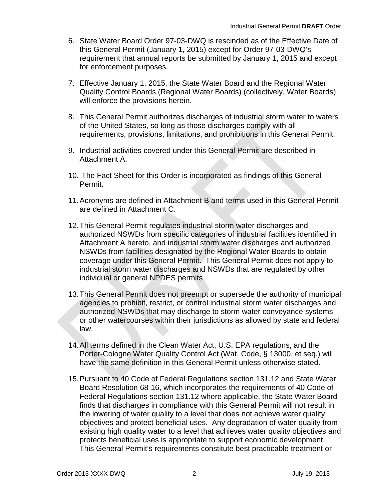- 6. State Water Board Order 97-03-DWQ is rescinded as of the Effective Date of this General Permit (January 1, 2015) except for Order 97-03-DWQ's requirement that annual reports be submitted by January 1, 2015 and except for enforcement purposes.
- 7. Effective January 1, 2015, the State Water Board and the Regional Water Quality Control Boards (Regional Water Boards) (collectively, Water Boards) will enforce the provisions herein.
- 8. This General Permit authorizes discharges of industrial storm water to waters of the United States, so long as those discharges comply with all requirements, provisions, limitations, and prohibitions in this General Permit.
- 9. Industrial activities covered under this General Permit are described in Attachment A.
- 10. The Fact Sheet for this Order is incorporated as findings of this General Permit.
- 11.Acronyms are defined in Attachment B and terms used in this General Permit are defined in Attachment C.
- 12.This General Permit regulates industrial storm water discharges and authorized NSWDs from specific categories of industrial facilities identified in Attachment A hereto, and industrial storm water discharges and authorized NSWDs from facilities designated by the Regional Water Boards to obtain coverage under this General Permit. This General Permit does not apply to industrial storm water discharges and NSWDs that are regulated by other individual or general NPDES permits
- 13.This General Permit does not preempt or supersede the authority of municipal agencies to prohibit, restrict, or control industrial storm water discharges and authorized NSWDs that may discharge to storm water conveyance systems or other watercourses within their jurisdictions as allowed by state and federal law.
- 14.All terms defined in the Clean Water Act, U.S. EPA regulations, and the Porter-Cologne Water Quality Control Act (Wat. Code, § 13000, et seq.) will have the same definition in this General Permit unless otherwise stated.
- 15.Pursuant to 40 Code of Federal Regulations section 131.12 and State Water Board Resolution 68-16, which incorporates the requirements of 40 Code of Federal Regulations section 131.12 where applicable, the State Water Board finds that discharges in compliance with this General Permit will not result in the lowering of water quality to a level that does not achieve water quality objectives and protect beneficial uses. Any degradation of water quality from existing high quality water to a level that achieves water quality objectives and protects beneficial uses is appropriate to support economic development. This General Permit's requirements constitute best practicable treatment or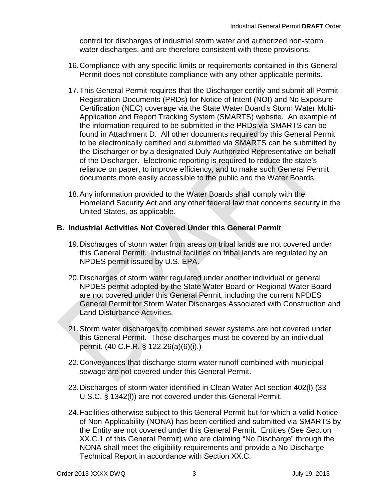control for discharges of industrial storm water and authorized non-storm water discharges, and are therefore consistent with those provisions.

- 16.Compliance with any specific limits or requirements contained in this General Permit does not constitute compliance with any other applicable permits.
- 17.This General Permit requires that the Discharger certify and submit all Permit Registration Documents (PRDs) for Notice of Intent (NOI) and No Exposure Certification (NEC) coverage via the State Water Board's Storm Water Multi-Application and Report Tracking System (SMARTS) website. An example of the information required to be submitted in the PRDs via SMARTS can be found in Attachment D. All other documents required by this General Permit to be electronically certified and submitted via SMARTS can be submitted by the Discharger or by a designated Duly Authorized Representative on behalf of the Discharger. Electronic reporting is required to reduce the state's reliance on paper, to improve efficiency, and to make such General Permit documents more easily accessible to the public and the Water Boards.
- 18.Any information provided to the Water Boards shall comply with the Homeland Security Act and any other federal law that concerns security in the United States, as applicable.

### **B. Industrial Activities Not Covered Under this General Permit**

- 19.Discharges of storm water from areas on tribal lands are not covered under this General Permit. Industrial facilities on tribal lands are regulated by an NPDES permit issued by U.S. EPA.
- 20.Discharges of storm water regulated under another individual or general NPDES permit adopted by the State Water Board or Regional Water Board are not covered under this General Permit, including the current NPDES General Permit for Storm Water Discharges Associated with Construction and Land Disturbance Activities.
- 21.Storm water discharges to combined sewer systems are not covered under this General Permit. These discharges must be covered by an individual permit. (40 C.F.R. § 122.26(a)(6)(i).)
- 22.Conveyances that discharge storm water runoff combined with municipal sewage are not covered under this General Permit.
- 23.Discharges of storm water identified in Clean Water Act section 402(l) (33 U.S.C. § 1342(l)) are not covered under this General Permit.
- 24.Facilities otherwise subject to this General Permit but for which a valid Notice of Non-Applicability (NONA) has been certified and submitted via SMARTS by the Entity are not covered under this General Permit. Entities (See Section XX.C.1 of this General Permit) who are claiming "No Discharge" through the NONA shall meet the eligibility requirements and provide a No Discharge Technical Report in accordance with Section XX.C.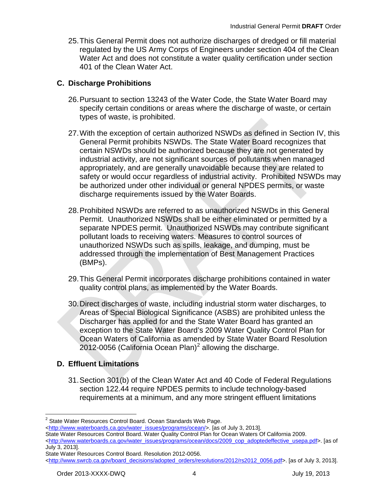25.This General Permit does not authorize discharges of dredged or fill material regulated by the US Army Corps of Engineers under section 404 of the Clean Water Act and does not constitute a water quality certification under section 401 of the Clean Water Act.

## **C. Discharge Prohibitions**

- 26.Pursuant to section 13243 of the Water Code, the State Water Board may specify certain conditions or areas where the discharge of waste, or certain types of waste, is prohibited.
- 27.With the exception of certain authorized NSWDs as defined in Section IV, this General Permit prohibits NSWDs. The State Water Board recognizes that certain NSWDs should be authorized because they are not generated by industrial activity, are not significant sources of pollutants when managed appropriately, and are generally unavoidable because they are related to safety or would occur regardless of industrial activity. Prohibited NSWDs may be authorized under other individual or general NPDES permits, or waste discharge requirements issued by the Water Boards.
- 28.Prohibited NSWDs are referred to as unauthorized NSWDs in this General Permit. Unauthorized NSWDs shall be either eliminated or permitted by a separate NPDES permit. Unauthorized NSWDs may contribute significant pollutant loads to receiving waters. Measures to control sources of unauthorized NSWDs such as spills, leakage, and dumping, must be addressed through the implementation of Best Management Practices (BMPs).
- 29.This General Permit incorporates discharge prohibitions contained in water quality control plans, as implemented by the Water Boards.
- 30.Direct discharges of waste, including industrial storm water discharges, to Areas of Special Biological Significance (ASBS) are prohibited unless the Discharger has applied for and the State Water Board has granted an exception to the State Water Board's 2009 Water Quality Control Plan for Ocean Waters of California as amended by State Water Board Resolution [2](#page-5-0)012-0056 (California Ocean Plan)<sup>2</sup> allowing the discharge.

# **D. Effluent Limitations**

31.Section 301(b) of the Clean Water Act and 40 Code of Federal Regulations section 122.44 require NPDES permits to include technology-based requirements at a minimum, and any more stringent effluent limitations

<span id="page-5-0"></span><sup>&</sup>lt;sup>2</sup> State Water Resources Control Board. Ocean Standards Web Page.

[<sup>&</sup>lt;http://www.waterboards.ca.gov/water\\_issues/programs/ocean/>](http://www.waterboards.ca.gov/water_issues/programs/ocean/%3e). [as of July 3, 2013]. State Water Resources Control Board. Water Quality Control Plan for Ocean Waters Of California 2009. [<http://www.waterboards.ca.gov/water\\_issues/programs/ocean/docs/2009\\_cop\\_adoptedeffective\\_usepa.pdf>](http://www.waterboards.ca.gov/water_issues/programs/ocean/docs/2009_cop_adoptedeffective_usepa.pdf). [as of July 3, 2013].

State Water Resources Control Board. Resolution 2012-0056.

[<sup>&</sup>lt;http://www.swrcb.ca.gov/board\\_decisions/adopted\\_orders/resolutions/2012/rs2012\\_0056.pdf>](http://www.swrcb.ca.gov/board_decisions/adopted_orders/resolutions/2012/rs2012_0056.pdf). [as of July 3, 2013].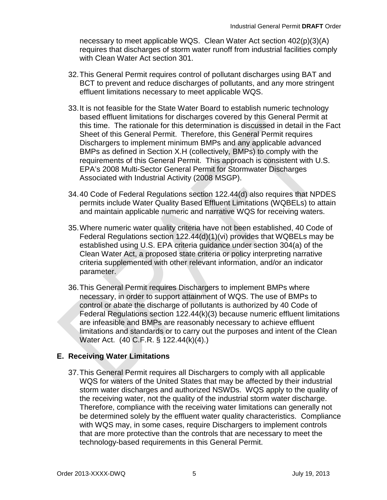necessary to meet applicable WQS. Clean Water Act section 402(p)(3)(A) requires that discharges of storm water runoff from industrial facilities comply with Clean Water Act section 301.

- 32.This General Permit requires control of pollutant discharges using BAT and BCT to prevent and reduce discharges of pollutants, and any more stringent effluent limitations necessary to meet applicable WQS.
- 33.It is not feasible for the State Water Board to establish numeric technology based effluent limitations for discharges covered by this General Permit at this time. The rationale for this determination is discussed in detail in the Fact Sheet of this General Permit. Therefore, this General Permit requires Dischargers to implement minimum BMPs and any applicable advanced BMPs as defined in Section X.H (collectively, BMPs) to comply with the requirements of this General Permit. This approach is consistent with U.S. EPA's 2008 Multi-Sector General Permit for Stormwater Discharges Associated with Industrial Activity (2008 MSGP).
- 34.40 Code of Federal Regulations section 122.44(d) also requires that NPDES permits include Water Quality Based Effluent Limitations (WQBELs) to attain and maintain applicable numeric and narrative WQS for receiving waters.
- 35.Where numeric water quality criteria have not been established, 40 Code of Federal Regulations section 122.44(d)(1)(vi) provides that WQBELs may be established using U.S. EPA criteria guidance under section 304(a) of the Clean Water Act, a proposed state criteria or policy interpreting narrative criteria supplemented with other relevant information, and/or an indicator parameter.
- 36.This General Permit requires Dischargers to implement BMPs where necessary, in order to support attainment of WQS. The use of BMPs to control or abate the discharge of pollutants is authorized by 40 Code of Federal Regulations section 122.44(k)(3) because numeric effluent limitations are infeasible and BMPs are reasonably necessary to achieve effluent limitations and standards or to carry out the purposes and intent of the Clean Water Act. (40 C.F.R. § 122.44(k)(4).)

### **E. Receiving Water Limitations**

37.This General Permit requires all Dischargers to comply with all applicable WQS for waters of the United States that may be affected by their industrial storm water discharges and authorized NSWDs. WQS apply to the quality of the receiving water, not the quality of the industrial storm water discharge. Therefore, compliance with the receiving water limitations can generally not be determined solely by the effluent water quality characteristics. Compliance with WQS may, in some cases, require Dischargers to implement controls that are more protective than the controls that are necessary to meet the technology-based requirements in this General Permit.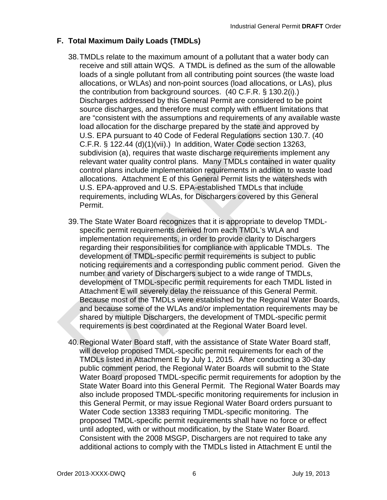## **F. Total Maximum Daily Loads (TMDLs)**

- 38.TMDLs relate to the maximum amount of a pollutant that a water body can receive and still attain WQS. A TMDL is defined as the sum of the allowable loads of a single pollutant from all contributing point sources (the waste load allocations, or WLAs) and non-point sources (load allocations, or LAs), plus the contribution from background sources. (40 C.F.R. § 130.2(i).) Discharges addressed by this General Permit are considered to be point source discharges, and therefore must comply with effluent limitations that are "consistent with the assumptions and requirements of any available waste load allocation for the discharge prepared by the state and approved by U.S. EPA pursuant to 40 Code of Federal Regulations section 130.7. (40 C.F.R. § 122.44 (d)(1)(vii).) In addition, Water Code section 13263, subdivision (a), requires that waste discharge requirements implement any relevant water quality control plans. Many TMDLs contained in water quality control plans include implementation requirements in addition to waste load allocations. Attachment E of this General Permit lists the watersheds with U.S. EPA-approved and U.S. EPA-established TMDLs that include requirements, including WLAs, for Dischargers covered by this General Permit.
- 39.The State Water Board recognizes that it is appropriate to develop TMDLspecific permit requirements derived from each TMDL's WLA and implementation requirements, in order to provide clarity to Dischargers regarding their responsibilities for compliance with applicable TMDLs. The development of TMDL-specific permit requirements is subject to public noticing requirements and a corresponding public comment period. Given the number and variety of Dischargers subject to a wide range of TMDLs, development of TMDL-specific permit requirements for each TMDL listed in Attachment E will severely delay the reissuance of this General Permit. Because most of the TMDLs were established by the Regional Water Boards, and because some of the WLAs and/or implementation requirements may be shared by multiple Dischargers, the development of TMDL-specific permit requirements is best coordinated at the Regional Water Board level.
- 40.Regional Water Board staff, with the assistance of State Water Board staff, will develop proposed TMDL-specific permit requirements for each of the TMDLs listed in Attachment E by July 1, 2015. After conducting a 30-day public comment period, the Regional Water Boards will submit to the State Water Board proposed TMDL-specific permit requirements for adoption by the State Water Board into this General Permit. The Regional Water Boards may also include proposed TMDL-specific monitoring requirements for inclusion in this General Permit, or may issue Regional Water Board orders pursuant to Water Code section 13383 requiring TMDL-specific monitoring. The proposed TMDL-specific permit requirements shall have no force or effect until adopted, with or without modification, by the State Water Board. Consistent with the 2008 MSGP, Dischargers are not required to take any additional actions to comply with the TMDLs listed in Attachment E until the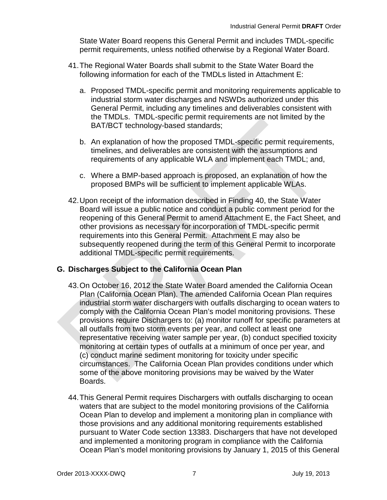State Water Board reopens this General Permit and includes TMDL-specific permit requirements, unless notified otherwise by a Regional Water Board.

- 41.The Regional Water Boards shall submit to the State Water Board the following information for each of the TMDLs listed in Attachment E:
	- a. Proposed TMDL-specific permit and monitoring requirements applicable to industrial storm water discharges and NSWDs authorized under this General Permit, including any timelines and deliverables consistent with the TMDLs. TMDL-specific permit requirements are not limited by the BAT/BCT technology-based standards;
	- b. An explanation of how the proposed TMDL-specific permit requirements, timelines, and deliverables are consistent with the assumptions and requirements of any applicable WLA and implement each TMDL; and,
	- c. Where a BMP-based approach is proposed, an explanation of how the proposed BMPs will be sufficient to implement applicable WLAs.
- 42.Upon receipt of the information described in Finding 40, the State Water Board will issue a public notice and conduct a public comment period for the reopening of this General Permit to amend Attachment E, the Fact Sheet, and other provisions as necessary for incorporation of TMDL-specific permit requirements into this General Permit. Attachment E may also be subsequently reopened during the term of this General Permit to incorporate additional TMDL-specific permit requirements.

### **G. Discharges Subject to the California Ocean Plan**

- 43.On October 16, 2012 the State Water Board amended the California Ocean Plan (California Ocean Plan). The amended California Ocean Plan requires industrial storm water dischargers with outfalls discharging to ocean waters to comply with the California Ocean Plan's model monitoring provisions. These provisions require Dischargers to: (a) monitor runoff for specific parameters at all outfalls from two storm events per year, and collect at least one representative receiving water sample per year, (b) conduct specified toxicity monitoring at certain types of outfalls at a minimum of once per year, and (c) conduct marine sediment monitoring for toxicity under specific circumstances. The California Ocean Plan provides conditions under which some of the above monitoring provisions may be waived by the Water Boards.
- 44.This General Permit requires Dischargers with outfalls discharging to ocean waters that are subject to the model monitoring provisions of the California Ocean Plan to develop and implement a monitoring plan in compliance with those provisions and any additional monitoring requirements established pursuant to Water Code section 13383. Dischargers that have not developed and implemented a monitoring program in compliance with the California Ocean Plan's model monitoring provisions by January 1, 2015 of this General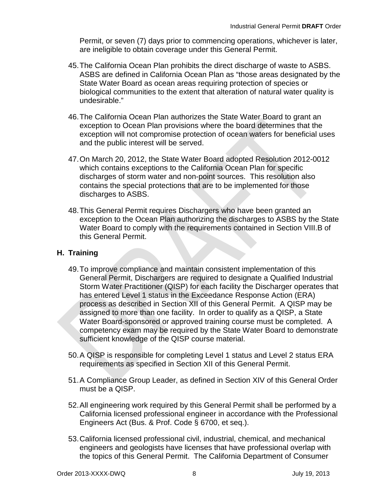Permit, or seven (7) days prior to commencing operations, whichever is later, are ineligible to obtain coverage under this General Permit.

- 45.The California Ocean Plan prohibits the direct discharge of waste to ASBS. ASBS are defined in California Ocean Plan as "those areas designated by the State Water Board as ocean areas requiring protection of species or biological communities to the extent that alteration of natural water quality is undesirable."
- 46.The California Ocean Plan authorizes the State Water Board to grant an exception to Ocean Plan provisions where the board determines that the exception will not compromise protection of ocean waters for beneficial uses and the public interest will be served.
- 47.On March 20, 2012, the State Water Board adopted Resolution 2012-0012 which contains exceptions to the California Ocean Plan for specific discharges of storm water and non-point sources. This resolution also contains the special protections that are to be implemented for those discharges to ASBS.
- 48.This General Permit requires Dischargers who have been granted an exception to the Ocean Plan authorizing the discharges to ASBS by the State Water Board to comply with the requirements contained in Section VIII.B of this General Permit.

## **H. Training**

- 49.To improve compliance and maintain consistent implementation of this General Permit, Dischargers are required to designate a Qualified Industrial Storm Water Practitioner (QISP) for each facility the Discharger operates that has entered Level 1 status in the Exceedance Response Action (ERA) process as described in Section XII of this General Permit. A QISP may be assigned to more than one facility. In order to qualify as a QISP, a State Water Board-sponsored or approved training course must be completed. A competency exam may be required by the State Water Board to demonstrate sufficient knowledge of the QISP course material.
- 50.A QISP is responsible for completing Level 1 status and Level 2 status ERA requirements as specified in Section XII of this General Permit.
- 51.A Compliance Group Leader, as defined in Section XIV of this General Order must be a QISP.
- 52.All engineering work required by this General Permit shall be performed by a California licensed professional engineer in accordance with the Professional Engineers Act (Bus. & Prof. Code § 6700, et seq.).
- 53.California licensed professional civil, industrial, chemical, and mechanical engineers and geologists have licenses that have professional overlap with the topics of this General Permit. The California Department of Consumer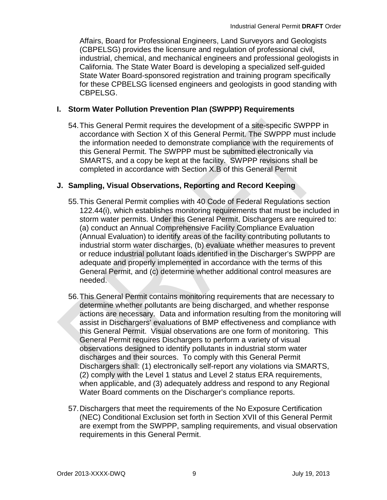Affairs, Board for Professional Engineers, Land Surveyors and Geologists (CBPELSG) provides the licensure and regulation of professional civil, industrial, chemical, and mechanical engineers and professional geologists in California. The State Water Board is developing a specialized self-guided State Water Board-sponsored registration and training program specifically for these CPBELSG licensed engineers and geologists in good standing with CBPELSG.

### **I. Storm Water Pollution Prevention Plan (SWPPP) Requirements**

54.This General Permit requires the development of a site-specific SWPPP in accordance with Section X of this General Permit. The SWPPP must include the information needed to demonstrate compliance with the requirements of this General Permit. The SWPPP must be submitted electronically via SMARTS, and a copy be kept at the facility. SWPPP revisions shall be completed in accordance with Section X.B of this General Permit

#### **J. Sampling, Visual Observations, Reporting and Record Keeping**

- 55.This General Permit complies with 40 Code of Federal Regulations section 122.44(i), which establishes monitoring requirements that must be included in storm water permits. Under this General Permit, Dischargers are required to: (a) conduct an Annual Comprehensive Facility Compliance Evaluation (Annual Evaluation) to identify areas of the facility contributing pollutants to industrial storm water discharges, (b) evaluate whether measures to prevent or reduce industrial pollutant loads identified in the Discharger's SWPPP are adequate and properly implemented in accordance with the terms of this General Permit, and (c) determine whether additional control measures are needed.
- 56.This General Permit contains monitoring requirements that are necessary to determine whether pollutants are being discharged, and whether response actions are necessary. Data and information resulting from the monitoring will assist in Dischargers' evaluations of BMP effectiveness and compliance with this General Permit. Visual observations are one form of monitoring. This General Permit requires Dischargers to perform a variety of visual observations designed to identify pollutants in industrial storm water discharges and their sources. To comply with this General Permit Dischargers shall: (1) electronically self-report any violations via SMARTS, (2) comply with the Level 1 status and Level 2 status ERA requirements, when applicable, and (3) adequately address and respond to any Regional Water Board comments on the Discharger's compliance reports.
- 57.Dischargers that meet the requirements of the No Exposure Certification (NEC) Conditional Exclusion set forth in Section XVII of this General Permit are exempt from the SWPPP, sampling requirements, and visual observation requirements in this General Permit.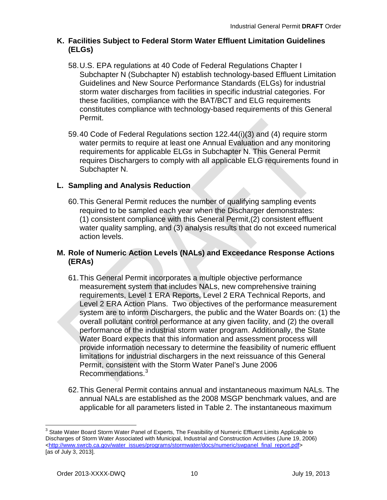#### **K. Facilities Subject to Federal Storm Water Effluent Limitation Guidelines (ELGs)**

- 58.U.S. EPA regulations at 40 Code of Federal Regulations Chapter I Subchapter N (Subchapter N) establish technology-based Effluent Limitation Guidelines and New Source Performance Standards (ELGs) for industrial storm water discharges from facilities in specific industrial categories. For these facilities, compliance with the BAT/BCT and ELG requirements constitutes compliance with technology-based requirements of this General Permit.
- 59.40 Code of Federal Regulations section 122.44(i)(3) and (4) require storm water permits to require at least one Annual Evaluation and any monitoring requirements for applicable ELGs in Subchapter N. This General Permit requires Dischargers to comply with all applicable ELG requirements found in Subchapter N.

# **L. Sampling and Analysis Reduction**

60.This General Permit reduces the number of qualifying sampling events required to be sampled each year when the Discharger demonstrates: (1) consistent compliance with this General Permit,(2) consistent effluent water quality sampling, and (3) analysis results that do not exceed numerical action levels.

#### **M. Role of Numeric Action Levels (NALs) and Exceedance Response Actions (ERAs)**

- 61.This General Permit incorporates a multiple objective performance measurement system that includes NALs, new comprehensive training requirements, Level 1 ERA Reports, Level 2 ERA Technical Reports, and Level 2 ERA Action Plans. Two objectives of the performance measurement system are to inform Dischargers, the public and the Water Boards on: (1) the overall pollutant control performance at any given facility, and (2) the overall performance of the industrial storm water program. Additionally, the State Water Board expects that this information and assessment process will provide information necessary to determine the feasibility of numeric effluent limitations for industrial dischargers in the next reissuance of this General Permit, consistent with the Storm Water Panel's June 2006 Recommendations.<sup>[3](#page-11-0)</sup>
- 62.This General Permit contains annual and instantaneous maximum NALs. The annual NALs are established as the 2008 MSGP benchmark values, and are applicable for all parameters listed in Table 2. The instantaneous maximum

<span id="page-11-0"></span><sup>&</sup>lt;sup>3</sup> State Water Board Storm Water Panel of Experts, The Feasibility of Numeric Effluent Limits Applicable to Discharges of Storm Water Associated with Municipal, Industrial and Construction Activities (June 19, 2006) [<http://www.swrcb.ca.gov/water\\_issues/programs/stormwater/docs/numeric/swpanel\\_final\\_report.pdf>](http://www.swrcb.ca.gov/water_issues/programs/stormwater/docs/numeric/swpanel_final_report.pdf) [as of July 3, 2013].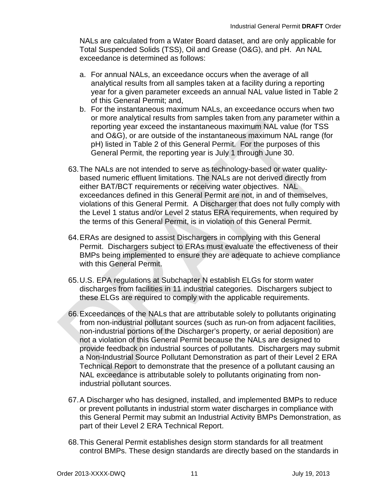NALs are calculated from a Water Board dataset, and are only applicable for Total Suspended Solids (TSS), Oil and Grease (O&G), and pH. An NAL exceedance is determined as follows:

- a. For annual NALs, an exceedance occurs when the average of all analytical results from all samples taken at a facility during a reporting year for a given parameter exceeds an annual NAL value listed in Table 2 of this General Permit; and,
- b. For the instantaneous maximum NALs, an exceedance occurs when two or more analytical results from samples taken from any parameter within a reporting year exceed the instantaneous maximum NAL value (for TSS and O&G), or are outside of the instantaneous maximum NAL range (for pH) listed in Table 2 of this General Permit. For the purposes of this General Permit, the reporting year is July 1 through June 30.
- 63.The NALs are not intended to serve as technology-based or water qualitybased numeric effluent limitations. The NALs are not derived directly from either BAT/BCT requirements or receiving water objectives. NAL exceedances defined in this General Permit are not, in and of themselves, violations of this General Permit. A Discharger that does not fully comply with the Level 1 status and/or Level 2 status ERA requirements, when required by the terms of this General Permit, is in violation of this General Permit.
- 64.ERAs are designed to assist Dischargers in complying with this General Permit. Dischargers subject to ERAs must evaluate the effectiveness of their BMPs being implemented to ensure they are adequate to achieve compliance with this General Permit.
- 65.U.S. EPA regulations at Subchapter N establish ELGs for storm water discharges from facilities in 11 industrial categories. Dischargers subject to these ELGs are required to comply with the applicable requirements.
- 66.Exceedances of the NALs that are attributable solely to pollutants originating from non-industrial pollutant sources (such as run-on from adjacent facilities, non-industrial portions of the Discharger's property, or aerial deposition) are not a violation of this General Permit because the NALs are designed to provide feedback on industrial sources of pollutants. Dischargers may submit a Non-Industrial Source Pollutant Demonstration as part of their Level 2 ERA Technical Report to demonstrate that the presence of a pollutant causing an NAL exceedance is attributable solely to pollutants originating from nonindustrial pollutant sources.
- 67.A Discharger who has designed, installed, and implemented BMPs to reduce or prevent pollutants in industrial storm water discharges in compliance with this General Permit may submit an Industrial Activity BMPs Demonstration, as part of their Level 2 ERA Technical Report.
- 68.This General Permit establishes design storm standards for all treatment control BMPs. These design standards are directly based on the standards in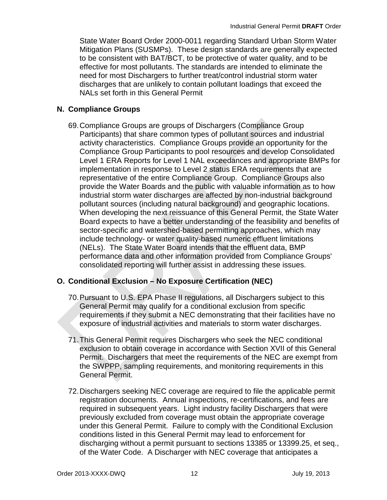State Water Board Order 2000-0011 regarding Standard Urban Storm Water Mitigation Plans (SUSMPs). These design standards are generally expected to be consistent with BAT/BCT, to be protective of water quality, and to be effective for most pollutants. The standards are intended to eliminate the need for most Dischargers to further treat/control industrial storm water discharges that are unlikely to contain pollutant loadings that exceed the NALs set forth in this General Permit

## **N. Compliance Groups**

69.Compliance Groups are groups of Dischargers (Compliance Group Participants) that share common types of pollutant sources and industrial activity characteristics. Compliance Groups provide an opportunity for the Compliance Group Participants to pool resources and develop Consolidated Level 1 ERA Reports for Level 1 NAL exceedances and appropriate BMPs for implementation in response to Level 2 status ERA requirements that are representative of the entire Compliance Group. Compliance Groups also provide the Water Boards and the public with valuable information as to how industrial storm water discharges are affected by non-industrial background pollutant sources (including natural background) and geographic locations. When developing the next reissuance of this General Permit, the State Water Board expects to have a better understanding of the feasibility and benefits of sector-specific and watershed-based permitting approaches, which may include technology- or water quality-based numeric effluent limitations (NELs). The State Water Board intends that the effluent data, BMP performance data and other information provided from Compliance Groups' consolidated reporting will further assist in addressing these issues.

# **O. Conditional Exclusion – No Exposure Certification (NEC)**

- 70.Pursuant to U.S. EPA Phase II regulations, all Dischargers subject to this General Permit may qualify for a conditional exclusion from specific requirements if they submit a NEC demonstrating that their facilities have no exposure of industrial activities and materials to storm water discharges.
- 71.This General Permit requires Dischargers who seek the NEC conditional exclusion to obtain coverage in accordance with Section XVII of this General Permit. Dischargers that meet the requirements of the NEC are exempt from the SWPPP, sampling requirements, and monitoring requirements in this General Permit.
- 72.Dischargers seeking NEC coverage are required to file the applicable permit registration documents. Annual inspections, re-certifications, and fees are required in subsequent years. Light industry facility Dischargers that were previously excluded from coverage must obtain the appropriate coverage under this General Permit. Failure to comply with the Conditional Exclusion conditions listed in this General Permit may lead to enforcement for discharging without a permit pursuant to sections 13385 or 13399.25, et seq., of the Water Code. A Discharger with NEC coverage that anticipates a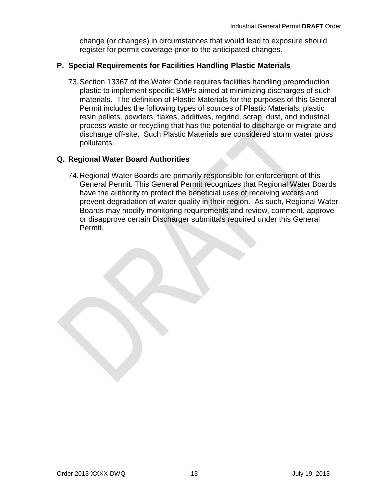change (or changes) in circumstances that would lead to exposure should register for permit coverage prior to the anticipated changes.

### **P. Special Requirements for Facilities Handling Plastic Materials**

73.Section 13367 of the Water Code requires facilities handling preproduction plastic to implement specific BMPs aimed at minimizing discharges of such materials. The definition of Plastic Materials for the purposes of this General Permit includes the following types of sources of Plastic Materials: plastic resin pellets, powders, flakes, additives, regrind, scrap, dust, and industrial process waste or recycling that has the potential to discharge or migrate and discharge off-site. Such Plastic Materials are considered storm water gross pollutants.

#### **Q. Regional Water Board Authorities**

74.Regional Water Boards are primarily responsible for enforcement of this General Permit. This General Permit recognizes that Regional Water Boards have the authority to protect the beneficial uses of receiving waters and prevent degradation of water quality in their region. As such, Regional Water Boards may modify monitoring requirements and review, comment, approve or disapprove certain Discharger submittals required under this General Permit.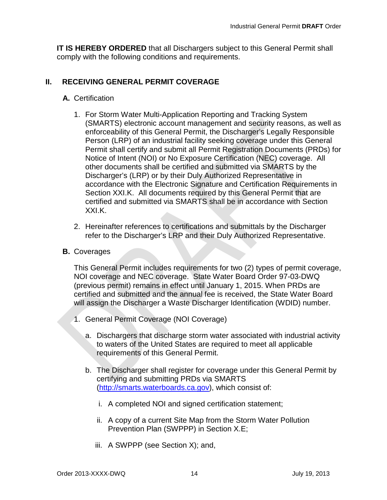**IT IS HEREBY ORDERED** that all Dischargers subject to this General Permit shall comply with the following conditions and requirements.

#### <span id="page-15-0"></span>**II. RECEIVING GENERAL PERMIT COVERAGE**

#### **A.** Certification

- 1. For Storm Water Multi-Application Reporting and Tracking System (SMARTS) electronic account management and security reasons, as well as enforceability of this General Permit, the Discharger's Legally Responsible Person (LRP) of an industrial facility seeking coverage under this General Permit shall certify and submit all Permit Registration Documents (PRDs) for Notice of Intent (NOI) or No Exposure Certification (NEC) coverage. All other documents shall be certified and submitted via SMARTS by the Discharger's (LRP) or by their Duly Authorized Representative in accordance with the Electronic Signature and Certification Requirements in Section XXI.K. All documents required by this General Permit that are certified and submitted via SMARTS shall be in accordance with Section XXI.K.
- 2. Hereinafter references to certifications and submittals by the Discharger refer to the Discharger's LRP and their Duly Authorized Representative.
- **B.** Coverages

This General Permit includes requirements for two (2) types of permit coverage, NOI coverage and NEC coverage. State Water Board Order 97-03-DWQ (previous permit) remains in effect until January 1, 2015. When PRDs are certified and submitted and the annual fee is received, the State Water Board will assign the Discharger a Waste Discharger Identification (WDID) number.

- 1. General Permit Coverage (NOI Coverage)
	- a. Dischargers that discharge storm water associated with industrial activity to waters of the United States are required to meet all applicable requirements of this General Permit.
	- b. The Discharger shall register for coverage under this General Permit by certifying and submitting PRDs via SMARTS [\(http://smarts.waterboards.ca.gov\)](http://smarts.waterboards.ca.gov/), which consist of:
		- i. A completed NOI and signed certification statement;
		- ii. A copy of a current Site Map from the Storm Water Pollution Prevention Plan (SWPPP) in Section X.E;
		- iii. A SWPPP (see Section X); and,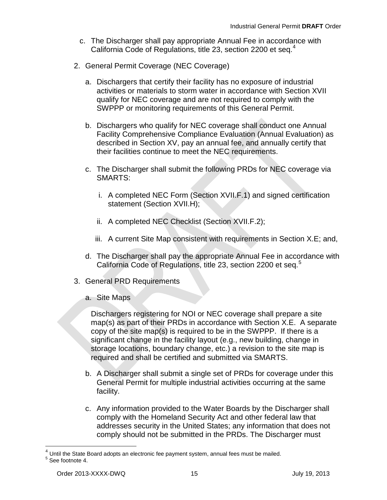- c. The Discharger shall pay appropriate Annual Fee in accordance with California Code of Regulations, title 23, section 2200 et seg.<sup>[4](#page-16-0)</sup>
- 2. General Permit Coverage (NEC Coverage)
	- a. Dischargers that certify their facility has no exposure of industrial activities or materials to storm water in accordance with Section XVII qualify for NEC coverage and are not required to comply with the SWPPP or monitoring requirements of this General Permit.
	- b. Dischargers who qualify for NEC coverage shall conduct one Annual Facility Comprehensive Compliance Evaluation (Annual Evaluation) as described in Section XV, pay an annual fee, and annually certify that their facilities continue to meet the NEC requirements.
	- c. The Discharger shall submit the following PRDs for NEC coverage via SMARTS:
		- i. A completed NEC Form (Section XVII.F.1) and signed certification statement (Section XVII.H);
		- ii. A completed NEC Checklist (Section XVII.F.2);
		- iii. A current Site Map consistent with requirements in Section X.E; and,
	- d. The Discharger shall pay the appropriate Annual Fee in accordance with California Code of Regulations, title 23, section 2200 et seq.<sup>[5](#page-16-1)</sup>
- 3. General PRD Requirements
	- a. Site Maps

Dischargers registering for NOI or NEC coverage shall prepare a site map(s) as part of their PRDs in accordance with Section X.E. A separate copy of the site map(s) is required to be in the SWPPP. If there is a significant change in the facility layout (e.g., new building, change in storage locations, boundary change, etc.) a revision to the site map is required and shall be certified and submitted via SMARTS.

- b. A Discharger shall submit a single set of PRDs for coverage under this General Permit for multiple industrial activities occurring at the same facility.
- c. Any information provided to the Water Boards by the Discharger shall comply with the Homeland Security Act and other federal law that addresses security in the United States; any information that does not comply should not be submitted in the PRDs. The Discharger must

<span id="page-16-1"></span><span id="page-16-0"></span> $^4$  Until the State Board adopts an electronic fee payment system, annual fees must be mailed.<br>  $^5$  See footnote 4.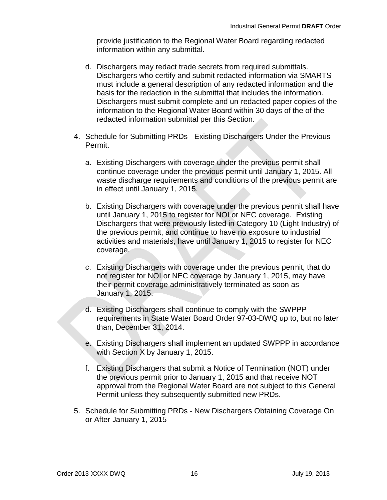provide justification to the Regional Water Board regarding redacted information within any submittal.

- d. Dischargers may redact trade secrets from required submittals. Dischargers who certify and submit redacted information via SMARTS must include a general description of any redacted information and the basis for the redaction in the submittal that includes the information. Dischargers must submit complete and un-redacted paper copies of the information to the Regional Water Board within 30 days of the of the redacted information submittal per this Section.
- 4. Schedule for Submitting PRDs Existing Dischargers Under the Previous Permit.
	- a. Existing Dischargers with coverage under the previous permit shall continue coverage under the previous permit until January 1, 2015. All waste discharge requirements and conditions of the previous permit are in effect until January 1, 2015.
	- b. Existing Dischargers with coverage under the previous permit shall have until January 1, 2015 to register for NOI or NEC coverage. Existing Dischargers that were previously listed in Category 10 (Light Industry) of the previous permit, and continue to have no exposure to industrial activities and materials, have until January 1, 2015 to register for NEC coverage.
	- c. Existing Dischargers with coverage under the previous permit, that do not register for NOI or NEC coverage by January 1, 2015, may have their permit coverage administratively terminated as soon as January 1, 2015.
	- d. Existing Dischargers shall continue to comply with the SWPPP requirements in State Water Board Order 97-03-DWQ up to, but no later than, December 31, 2014.
	- e. Existing Dischargers shall implement an updated SWPPP in accordance with Section X by January 1, 2015.
	- f. Existing Dischargers that submit a Notice of Termination (NOT) under the previous permit prior to January 1, 2015 and that receive NOT approval from the Regional Water Board are not subject to this General Permit unless they subsequently submitted new PRDs.
- 5. Schedule for Submitting PRDs New Dischargers Obtaining Coverage On or After January 1, 2015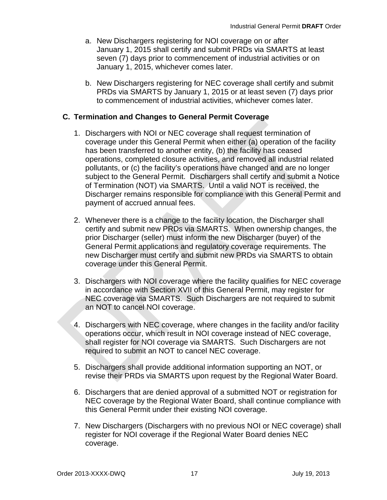- a. New Dischargers registering for NOI coverage on or after January 1, 2015 shall certify and submit PRDs via SMARTS at least seven (7) days prior to commencement of industrial activities or on January 1, 2015, whichever comes later.
- b. New Dischargers registering for NEC coverage shall certify and submit PRDs via SMARTS by January 1, 2015 or at least seven (7) days prior to commencement of industrial activities, whichever comes later.

### **C. Termination and Changes to General Permit Coverage**

- 1. Dischargers with NOI or NEC coverage shall request termination of coverage under this General Permit when either (a) operation of the facility has been transferred to another entity, (b) the facility has ceased operations, completed closure activities, and removed all industrial related pollutants, or (c) the facility's operations have changed and are no longer subject to the General Permit. Dischargers shall certify and submit a Notice of Termination (NOT) via SMARTS. Until a valid NOT is received, the Discharger remains responsible for compliance with this General Permit and payment of accrued annual fees.
- 2. Whenever there is a change to the facility location, the Discharger shall certify and submit new PRDs via SMARTS. When ownership changes, the prior Discharger (seller) must inform the new Discharger (buyer) of the General Permit applications and regulatory coverage requirements. The new Discharger must certify and submit new PRDs via SMARTS to obtain coverage under this General Permit.
- 3. Dischargers with NOI coverage where the facility qualifies for NEC coverage in accordance with Section XVII of this General Permit, may register for NEC coverage via SMARTS. Such Dischargers are not required to submit an NOT to cancel NOI coverage.
- 4. Dischargers with NEC coverage, where changes in the facility and/or facility operations occur, which result in NOI coverage instead of NEC coverage, shall register for NOI coverage via SMARTS. Such Dischargers are not required to submit an NOT to cancel NEC coverage.
- 5. Dischargers shall provide additional information supporting an NOT, or revise their PRDs via SMARTS upon request by the Regional Water Board.
- 6. Dischargers that are denied approval of a submitted NOT or registration for NEC coverage by the Regional Water Board, shall continue compliance with this General Permit under their existing NOI coverage.
- 7. New Dischargers (Dischargers with no previous NOI or NEC coverage) shall register for NOI coverage if the Regional Water Board denies NEC coverage.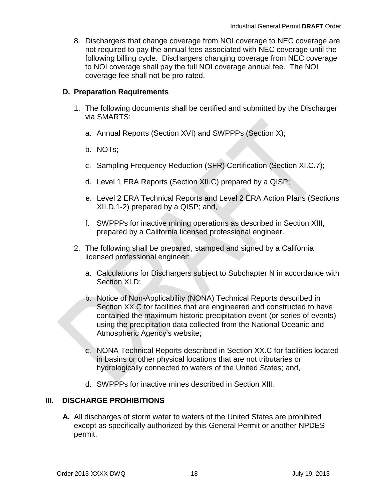8. Dischargers that change coverage from NOI coverage to NEC coverage are not required to pay the annual fees associated with NEC coverage until the following billing cycle. Dischargers changing coverage from NEC coverage to NOI coverage shall pay the full NOI coverage annual fee. The NOI coverage fee shall not be pro-rated.

### **D. Preparation Requirements**

- 1. The following documents shall be certified and submitted by the Discharger via SMARTS:
	- a. Annual Reports (Section XVI) and SWPPPs (Section X);
	- b. NOTs;
	- c. Sampling Frequency Reduction (SFR) Certification (Section XI.C.7);
	- d. Level 1 ERA Reports (Section XII.C) prepared by a QISP;
	- e. Level 2 ERA Technical Reports and Level 2 ERA Action Plans (Sections XII.D.1-2) prepared by a QISP; and,
	- f. SWPPPs for inactive mining operations as described in Section XIII, prepared by a California licensed professional engineer.
- 2. The following shall be prepared, stamped and signed by a California licensed professional engineer:
	- a. Calculations for Dischargers subject to Subchapter N in accordance with Section XI.D;
	- b. Notice of Non-Applicability (NONA) Technical Reports described in Section XX.C for facilities that are engineered and constructed to have contained the maximum historic precipitation event (or series of events) using the precipitation data collected from the National Oceanic and Atmospheric Agency's website;
	- c. NONA Technical Reports described in Section XX.C for facilities located in basins or other physical locations that are not tributaries or hydrologically connected to waters of the United States; and,
	- d. SWPPPs for inactive mines described in Section XIII.

### <span id="page-19-0"></span>**III. DISCHARGE PROHIBITIONS**

**A.** All discharges of storm water to waters of the United States are prohibited except as specifically authorized by this General Permit or another NPDES permit.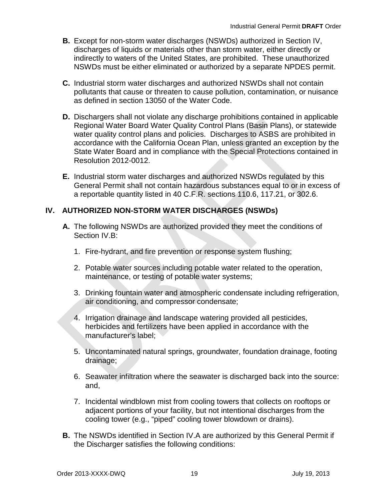- **B.** Except for non-storm water discharges (NSWDs) authorized in Section IV, discharges of liquids or materials other than storm water, either directly or indirectly to waters of the United States, are prohibited. These unauthorized NSWDs must be either eliminated or authorized by a separate NPDES permit.
- **C.** Industrial storm water discharges and authorized NSWDs shall not contain pollutants that cause or threaten to cause pollution, contamination, or nuisance as defined in section 13050 of the Water Code.
- **D.** Dischargers shall not violate any discharge prohibitions contained in applicable Regional Water Board Water Quality Control Plans (Basin Plans), or statewide water quality control plans and policies. Discharges to ASBS are prohibited in accordance with the California Ocean Plan, unless granted an exception by the State Water Board and in compliance with the Special Protections contained in Resolution 2012-0012.
- **E.** Industrial storm water discharges and authorized NSWDs regulated by this General Permit shall not contain hazardous substances equal to or in excess of a reportable quantity listed in 40 C.F.R. sections 110.6, 117.21, or 302.6.

## <span id="page-20-0"></span>**IV. AUTHORIZED NON-STORM WATER DISCHARGES (NSWDs)**

- **A.** The following NSWDs are authorized provided they meet the conditions of Section IV.B:
	- 1. Fire-hydrant, and fire prevention or response system flushing;
	- 2. Potable water sources including potable water related to the operation, maintenance, or testing of potable water systems;
	- 3. Drinking fountain water and atmospheric condensate including refrigeration, air conditioning, and compressor condensate;
	- 4. Irrigation drainage and landscape watering provided all pesticides, herbicides and fertilizers have been applied in accordance with the manufacturer's label;
	- 5. Uncontaminated natural springs, groundwater, foundation drainage, footing drainage;
	- 6. Seawater infiltration where the seawater is discharged back into the source: and,
	- 7. Incidental windblown mist from cooling towers that collects on rooftops or adjacent portions of your facility, but not intentional discharges from the cooling tower (e.g., "piped" cooling tower blowdown or drains).
- **B.** The NSWDs identified in Section IV.A are authorized by this General Permit if the Discharger satisfies the following conditions: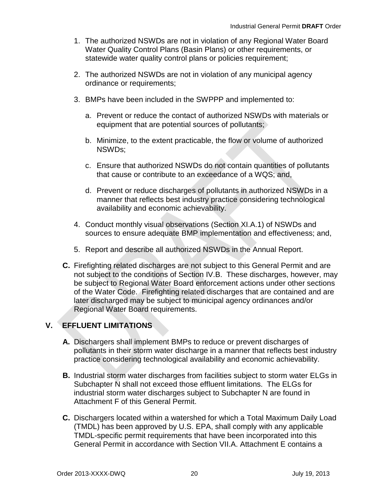- 1. The authorized NSWDs are not in violation of any Regional Water Board Water Quality Control Plans (Basin Plans) or other requirements, or statewide water quality control plans or policies requirement;
- 2. The authorized NSWDs are not in violation of any municipal agency ordinance or requirements;
- 3. BMPs have been included in the SWPPP and implemented to:
	- a. Prevent or reduce the contact of authorized NSWDs with materials or equipment that are potential sources of pollutants;
	- b. Minimize, to the extent practicable, the flow or volume of authorized NSWDs;
	- c. Ensure that authorized NSWDs do not contain quantities of pollutants that cause or contribute to an exceedance of a WQS; and,
	- d. Prevent or reduce discharges of pollutants in authorized NSWDs in a manner that reflects best industry practice considering technological availability and economic achievability.
- 4. Conduct monthly visual observations (Section XI.A.1) of NSWDs and sources to ensure adequate BMP implementation and effectiveness; and,
- 5. Report and describe all authorized NSWDs in the Annual Report.
- **C.** Firefighting related discharges are not subject to this General Permit and are not subject to the conditions of Section IV.B. These discharges, however, may be subject to Regional Water Board enforcement actions under other sections of the Water Code. Firefighting related discharges that are contained and are later discharged may be subject to municipal agency ordinances and/or Regional Water Board requirements.

# <span id="page-21-0"></span>**V. EFFLUENT LIMITATIONS**

- **A.** Dischargers shall implement BMPs to reduce or prevent discharges of pollutants in their storm water discharge in a manner that reflects best industry practice considering technological availability and economic achievability.
- **B.** Industrial storm water discharges from facilities subject to storm water ELGs in Subchapter N shall not exceed those effluent limitations. The ELGs for industrial storm water discharges subject to Subchapter N are found in Attachment F of this General Permit.
- **C.** Dischargers located within a watershed for which a Total Maximum Daily Load (TMDL) has been approved by U.S. EPA, shall comply with any applicable TMDL-specific permit requirements that have been incorporated into this General Permit in accordance with Section VII.A. Attachment E contains a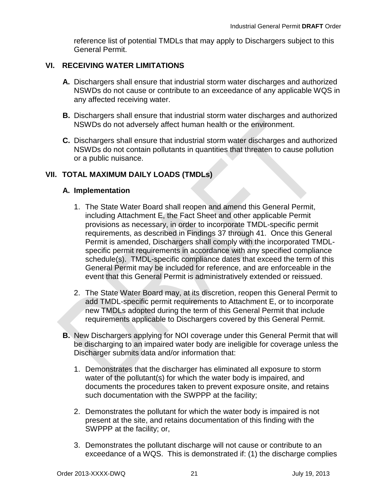reference list of potential TMDLs that may apply to Dischargers subject to this General Permit.

#### <span id="page-22-0"></span>**VI. RECEIVING WATER LIMITATIONS**

- **A.** Dischargers shall ensure that industrial storm water discharges and authorized NSWDs do not cause or contribute to an exceedance of any applicable WQS in any affected receiving water.
- **B.** Dischargers shall ensure that industrial storm water discharges and authorized NSWDs do not adversely affect human health or the environment.
- **C.** Dischargers shall ensure that industrial storm water discharges and authorized NSWDs do not contain pollutants in quantities that threaten to cause pollution or a public nuisance.

#### <span id="page-22-1"></span>**VII. TOTAL MAXIMUM DAILY LOADS (TMDLs)**

#### **A. Implementation**

- 1. The State Water Board shall reopen and amend this General Permit, including Attachment E, the Fact Sheet and other applicable Permit provisions as necessary, in order to incorporate TMDL-specific permit requirements, as described in Findings 37 through 41. Once this General Permit is amended, Dischargers shall comply with the incorporated TMDLspecific permit requirements in accordance with any specified compliance schedule(s). TMDL-specific compliance dates that exceed the term of this General Permit may be included for reference, and are enforceable in the event that this General Permit is administratively extended or reissued.
- 2. The State Water Board may, at its discretion, reopen this General Permit to add TMDL-specific permit requirements to Attachment E, or to incorporate new TMDLs adopted during the term of this General Permit that include requirements applicable to Dischargers covered by this General Permit.
- **B.** New Dischargers applying for NOI coverage under this General Permit that will be discharging to an impaired water body are ineligible for coverage unless the Discharger submits data and/or information that:
	- 1. Demonstrates that the discharger has eliminated all exposure to storm water of the pollutant(s) for which the water body is impaired, and documents the procedures taken to prevent exposure onsite, and retains such documentation with the SWPPP at the facility;
	- 2. Demonstrates the pollutant for which the water body is impaired is not present at the site, and retains documentation of this finding with the SWPPP at the facility; or,
	- 3. Demonstrates the pollutant discharge will not cause or contribute to an exceedance of a WQS. This is demonstrated if: (1) the discharge complies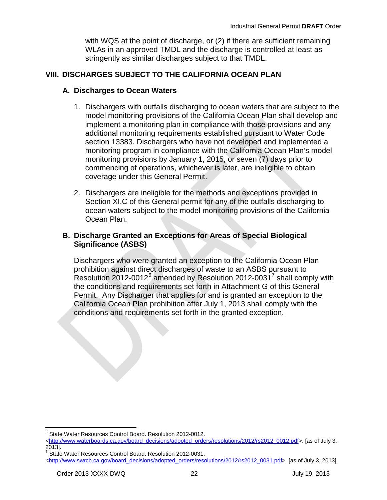with WQS at the point of discharge, or (2) if there are sufficient remaining WLAs in an approved TMDL and the discharge is controlled at least as stringently as similar discharges subject to that TMDL.

#### <span id="page-23-0"></span>**VIII. DISCHARGES SUBJECT TO THE CALIFORNIA OCEAN PLAN**

#### **A. Discharges to Ocean Waters**

- 1. Dischargers with outfalls discharging to ocean waters that are subject to the model monitoring provisions of the California Ocean Plan shall develop and implement a monitoring plan in compliance with those provisions and any additional monitoring requirements established pursuant to Water Code section 13383. Dischargers who have not developed and implemented a monitoring program in compliance with the California Ocean Plan's model monitoring provisions by January 1, 2015, or seven (7) days prior to commencing of operations, whichever is later, are ineligible to obtain coverage under this General Permit.
- 2. Dischargers are ineligible for the methods and exceptions provided in Section XI.C of this General permit for any of the outfalls discharging to ocean waters subject to the model monitoring provisions of the California Ocean Plan.

#### **B. Discharge Granted an Exceptions for Areas of Special Biological Significance (ASBS)**

Dischargers who were granted an exception to the California Ocean Plan prohibition against direct discharges of waste to an ASBS pursuant to Resolution 2012-0012 $^6$  $^6$  amended by Resolution 2012-0031 $^7$  $^7$  shall comply with the conditions and requirements set forth in Attachment G of this General Permit. Any Discharger that applies for and is granted an exception to the California Ocean Plan prohibition after July 1, 2013 shall comply with the conditions and requirements set forth in the granted exception.

<sup>&</sup>lt;sup>6</sup> State Water Resources Control Board. Resolution 2012-0012.

<span id="page-23-1"></span>[<sup>&</sup>lt;http://www.waterboards.ca.gov/board\\_decisions/adopted\\_orders/resolutions/2012/rs2012\\_0012.pdf>](http://www.waterboards.ca.gov/board_decisions/adopted_orders/resolutions/2012/rs2012_0012.pdf). [as of July 3, 2013].<br><sup>7</sup> State Water Resources Control Board. Resolution 2012-0031.

<span id="page-23-2"></span>[<sup>&</sup>lt;http://www.swrcb.ca.gov/board\\_decisions/adopted\\_orders/resolutions/2012/rs2012\\_0031.pdf>](http://www.swrcb.ca.gov/board_decisions/adopted_orders/resolutions/2012/rs2012_0031.pdf). [as of July 3, 2013].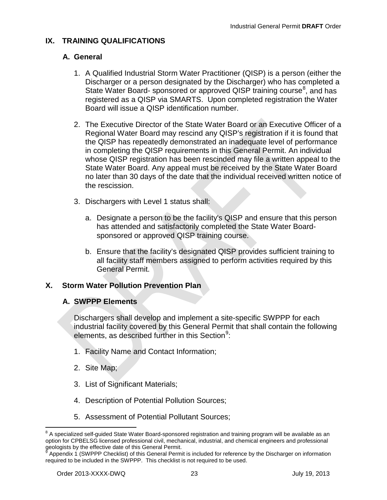## <span id="page-24-0"></span>**IX. TRAINING QUALIFICATIONS**

### **A. General**

- 1. A Qualified Industrial Storm Water Practitioner (QISP) is a person (either the Discharger or a person designated by the Discharger) who has completed a State Water Board- sponsored or approved QISP training course<sup>[8](#page-24-2)</sup>, and has registered as a QISP via SMARTS. Upon completed registration the Water Board will issue a QISP identification number.
- 2. The Executive Director of the State Water Board or an Executive Officer of a Regional Water Board may rescind any QISP's registration if it is found that the QISP has repeatedly demonstrated an inadequate level of performance in completing the QISP requirements in this General Permit. An individual whose QISP registration has been rescinded may file a written appeal to the State Water Board. Any appeal must be received by the State Water Board no later than 30 days of the date that the individual received written notice of the rescission.
- 3. Dischargers with Level 1 status shall:
	- a. Designate a person to be the facility's QISP and ensure that this person has attended and satisfactorily completed the State Water Boardsponsored or approved QISP training course.
	- b. Ensure that the facility's designated QISP provides sufficient training to all facility staff members assigned to perform activities required by this General Permit.

### <span id="page-24-1"></span>**X. Storm Water Pollution Prevention Plan**

### **A. SWPPP Elements**

Dischargers shall develop and implement a site-specific SWPPP for each industrial facility covered by this General Permit that shall contain the following elements, as described further in this Section<sup>[9](#page-24-3)</sup>:

- 1. Facility Name and Contact Information;
- 2. Site Map;
- 3. List of Significant Materials;
- 4. Description of Potential Pollution Sources;
- 5. Assessment of Potential Pollutant Sources;

<span id="page-24-2"></span> $8$  A specialized self-guided State Water Board-sponsored registration and training program will be available as an option for CPBELSG licensed professional civil, mechanical, industrial, and chemical engineers and professional geologists by the effective date of this General Permit.

<span id="page-24-3"></span>Appendix 1 (SWPPP Checklist) of this General Permit is included for reference by the Discharger on information required to be included in the SWPPP. This checklist is not required to be used.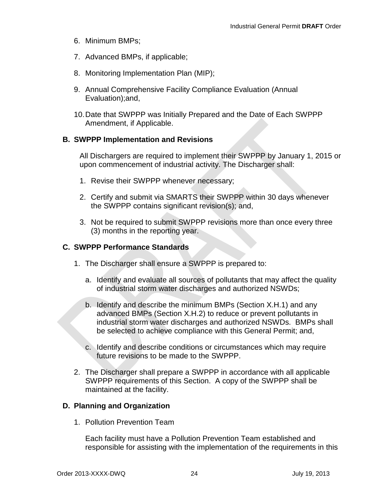- 6. Minimum BMPs;
- 7. Advanced BMPs, if applicable;
- 8. Monitoring Implementation Plan (MIP);
- 9. Annual Comprehensive Facility Compliance Evaluation (Annual Evaluation);and,
- 10.Date that SWPPP was Initially Prepared and the Date of Each SWPPP Amendment, if Applicable.

#### **B. SWPPP Implementation and Revisions**

All Dischargers are required to implement their SWPPP by January 1, 2015 or upon commencement of industrial activity. The Discharger shall:

- 1. Revise their SWPPP whenever necessary;
- 2. Certify and submit via SMARTS their SWPPP within 30 days whenever the SWPPP contains significant revision(s); and,
- 3. Not be required to submit SWPPP revisions more than once every three (3) months in the reporting year.

#### **C. SWPPP Performance Standards**

- 1. The Discharger shall ensure a SWPPP is prepared to:
	- a. Identify and evaluate all sources of pollutants that may affect the quality of industrial storm water discharges and authorized NSWDs;
	- b. Identify and describe the minimum BMPs (Section X.H.1) and any advanced BMPs (Section X.H.2) to reduce or prevent pollutants in industrial storm water discharges and authorized NSWDs. BMPs shall be selected to achieve compliance with this General Permit; and,
	- c. Identify and describe conditions or circumstances which may require future revisions to be made to the SWPPP.
- 2. The Discharger shall prepare a SWPPP in accordance with all applicable SWPPP requirements of this Section. A copy of the SWPPP shall be maintained at the facility.

#### **D. Planning and Organization**

1. Pollution Prevention Team

Each facility must have a Pollution Prevention Team established and responsible for assisting with the implementation of the requirements in this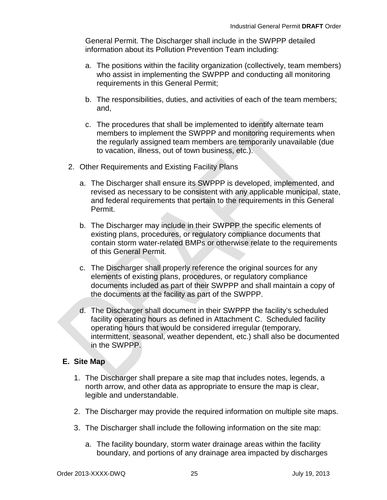General Permit. The Discharger shall include in the SWPPP detailed information about its Pollution Prevention Team including:

- a. The positions within the facility organization (collectively, team members) who assist in implementing the SWPPP and conducting all monitoring requirements in this General Permit;
- b. The responsibilities, duties, and activities of each of the team members; and,
- c. The procedures that shall be implemented to identify alternate team members to implement the SWPPP and monitoring requirements when the regularly assigned team members are temporarily unavailable (due to vacation, illness, out of town business, etc.).
- 2. Other Requirements and Existing Facility Plans
	- a. The Discharger shall ensure its SWPPP is developed, implemented, and revised as necessary to be consistent with any applicable municipal, state, and federal requirements that pertain to the requirements in this General Permit.
	- b. The Discharger may include in their SWPPP the specific elements of existing plans, procedures, or regulatory compliance documents that contain storm water-related BMPs or otherwise relate to the requirements of this General Permit.
	- c. The Discharger shall properly reference the original sources for any elements of existing plans, procedures, or regulatory compliance documents included as part of their SWPPP and shall maintain a copy of the documents at the facility as part of the SWPPP.
	- d. The Discharger shall document in their SWPPP the facility's scheduled facility operating hours as defined in Attachment C. Scheduled facility operating hours that would be considered irregular (temporary, intermittent, seasonal, weather dependent, etc.) shall also be documented in the SWPPP.

### **E. Site Map**

- 1. The Discharger shall prepare a site map that includes notes, legends, a north arrow, and other data as appropriate to ensure the map is clear, legible and understandable.
- 2. The Discharger may provide the required information on multiple site maps.
- 3. The Discharger shall include the following information on the site map:
	- a. The facility boundary, storm water drainage areas within the facility boundary, and portions of any drainage area impacted by discharges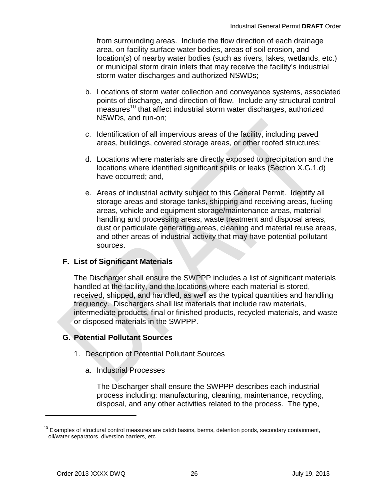from surrounding areas. Include the flow direction of each drainage area, on-facility surface water bodies, areas of soil erosion, and location(s) of nearby water bodies (such as rivers, lakes, wetlands, etc.) or municipal storm drain inlets that may receive the facility's industrial storm water discharges and authorized NSWDs;

- b. Locations of storm water collection and conveyance systems, associated points of discharge, and direction of flow. Include any structural control  $m$ easures<sup>[10](#page-27-0)</sup> that affect industrial storm water discharges, authorized NSWDs, and run-on;
- c. Identification of all impervious areas of the facility, including paved areas, buildings, covered storage areas, or other roofed structures;
- d. Locations where materials are directly exposed to precipitation and the locations where identified significant spills or leaks (Section X.G.1.d) have occurred; and,
- e. Areas of industrial activity subject to this General Permit. Identify all storage areas and storage tanks, shipping and receiving areas, fueling areas, vehicle and equipment storage/maintenance areas, material handling and processing areas, waste treatment and disposal areas, dust or particulate generating areas, cleaning and material reuse areas, and other areas of industrial activity that may have potential pollutant sources.

### **F. List of Significant Materials**

The Discharger shall ensure the SWPPP includes a list of significant materials handled at the facility, and the locations where each material is stored, received, shipped, and handled, as well as the typical quantities and handling frequency. Dischargers shall list materials that include raw materials, intermediate products, final or finished products, recycled materials, and waste or disposed materials in the SWPPP.

### **G. Potential Pollutant Sources**

- 1. Description of Potential Pollutant Sources
	- a. Industrial Processes

The Discharger shall ensure the SWPPP describes each industrial process including: manufacturing, cleaning, maintenance, recycling, disposal, and any other activities related to the process. The type,

 $\overline{a}$ 

<span id="page-27-0"></span> $10$  Examples of structural control measures are catch basins, berms, detention ponds, secondary containment, oil/water separators, diversion barriers, etc.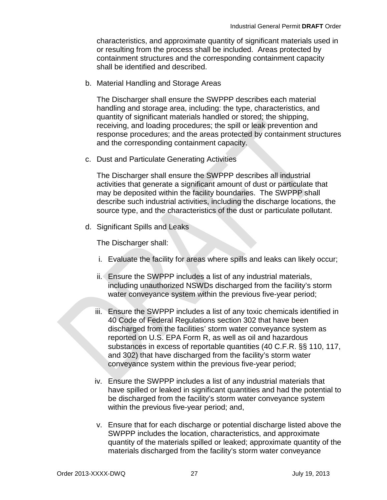characteristics, and approximate quantity of significant materials used in or resulting from the process shall be included. Areas protected by containment structures and the corresponding containment capacity shall be identified and described.

b. Material Handling and Storage Areas

The Discharger shall ensure the SWPPP describes each material handling and storage area, including: the type, characteristics, and quantity of significant materials handled or stored; the shipping, receiving, and loading procedures; the spill or leak prevention and response procedures; and the areas protected by containment structures and the corresponding containment capacity.

c. Dust and Particulate Generating Activities

The Discharger shall ensure the SWPPP describes all industrial activities that generate a significant amount of dust or particulate that may be deposited within the facility boundaries. The SWPPP shall describe such industrial activities, including the discharge locations, the source type, and the characteristics of the dust or particulate pollutant.

d. Significant Spills and Leaks

The Discharger shall:

- i. Evaluate the facility for areas where spills and leaks can likely occur;
- ii. Ensure the SWPPP includes a list of any industrial materials, including unauthorized NSWDs discharged from the facility's storm water conveyance system within the previous five-year period;
- iii. Ensure the SWPPP includes a list of any toxic chemicals identified in 40 Code of Federal Regulations section 302 that have been discharged from the facilities' storm water conveyance system as reported on U.S. EPA Form R, as well as oil and hazardous substances in excess of reportable quantities (40 C.F.R. §§ 110, 117, and 302) that have discharged from the facility's storm water conveyance system within the previous five-year period;
- iv. Ensure the SWPPP includes a list of any industrial materials that have spilled or leaked in significant quantities and had the potential to be discharged from the facility's storm water conveyance system within the previous five-year period; and,
- v. Ensure that for each discharge or potential discharge listed above the SWPPP includes the location, characteristics, and approximate quantity of the materials spilled or leaked; approximate quantity of the materials discharged from the facility's storm water conveyance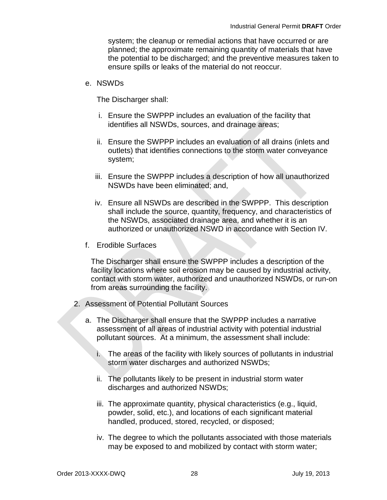system; the cleanup or remedial actions that have occurred or are planned; the approximate remaining quantity of materials that have the potential to be discharged; and the preventive measures taken to ensure spills or leaks of the material do not reoccur.

#### e. NSWDs

The Discharger shall:

- i. Ensure the SWPPP includes an evaluation of the facility that identifies all NSWDs, sources, and drainage areas;
- ii. Ensure the SWPPP includes an evaluation of all drains (inlets and outlets) that identifies connections to the storm water conveyance system;
- iii. Ensure the SWPPP includes a description of how all unauthorized NSWDs have been eliminated; and,
- iv. Ensure all NSWDs are described in the SWPPP. This description shall include the source, quantity, frequency, and characteristics of the NSWDs, associated drainage area, and whether it is an authorized or unauthorized NSWD in accordance with Section IV.
- f. Erodible Surfaces

The Discharger shall ensure the SWPPP includes a description of the facility locations where soil erosion may be caused by industrial activity, contact with storm water, authorized and unauthorized NSWDs, or run-on from areas surrounding the facility.

- 2. Assessment of Potential Pollutant Sources
	- a. The Discharger shall ensure that the SWPPP includes a narrative assessment of all areas of industrial activity with potential industrial pollutant sources. At a minimum, the assessment shall include:
		- i. The areas of the facility with likely sources of pollutants in industrial storm water discharges and authorized NSWDs;
		- ii. The pollutants likely to be present in industrial storm water discharges and authorized NSWDs;
		- iii. The approximate quantity, physical characteristics (e.g., liquid, powder, solid, etc.), and locations of each significant material handled, produced, stored, recycled, or disposed;
		- iv. The degree to which the pollutants associated with those materials may be exposed to and mobilized by contact with storm water;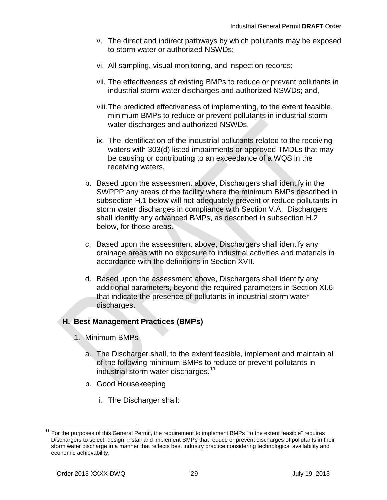- v. The direct and indirect pathways by which pollutants may be exposed to storm water or authorized NSWDs;
- vi. All sampling, visual monitoring, and inspection records;
- vii. The effectiveness of existing BMPs to reduce or prevent pollutants in industrial storm water discharges and authorized NSWDs; and,
- viii.The predicted effectiveness of implementing, to the extent feasible, minimum BMPs to reduce or prevent pollutants in industrial storm water discharges and authorized NSWDs.
- ix. The identification of the industrial pollutants related to the receiving waters with 303(d) listed impairments or approved TMDLs that may be causing or contributing to an exceedance of a WQS in the receiving waters.
- b. Based upon the assessment above, Dischargers shall identify in the SWPPP any areas of the facility where the minimum BMPs described in subsection H.1 below will not adequately prevent or reduce pollutants in storm water discharges in compliance with Section V.A. Dischargers shall identify any advanced BMPs, as described in subsection H.2 below, for those areas.
- c. Based upon the assessment above, Dischargers shall identify any drainage areas with no exposure to industrial activities and materials in accordance with the definitions in Section XVII.
- d. Based upon the assessment above, Dischargers shall identify any additional parameters, beyond the required parameters in Section XI.6 that indicate the presence of pollutants in industrial storm water discharges.

#### **H. Best Management Practices (BMPs)**

- 1. Minimum BMPs
	- a. The Discharger shall, to the extent feasible, implement and maintain all of the following minimum BMPs to reduce or prevent pollutants in industrial storm water discharges.<sup>[11](#page-30-0)</sup>
	- b. Good Housekeeping
		- i. The Discharger shall:

<span id="page-30-0"></span>**<sup>11</sup>** For the purposes of this General Permit, the requirement to implement BMPs "to the extent feasible" requires Dischargers to select, design, install and implement BMPs that reduce or prevent discharges of pollutants in their storm water discharge in a manner that reflects best industry practice considering technological availability and economic achievability.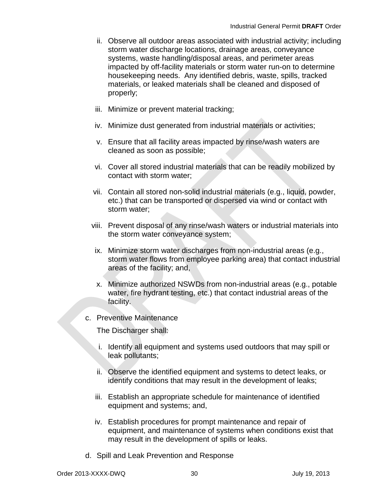- ii. Observe all outdoor areas associated with industrial activity; including storm water discharge locations, drainage areas, conveyance systems, waste handling/disposal areas, and perimeter areas impacted by off-facility materials or storm water run-on to determine housekeeping needs. Any identified debris, waste, spills, tracked materials, or leaked materials shall be cleaned and disposed of properly;
- iii. Minimize or prevent material tracking;
- iv. Minimize dust generated from industrial materials or activities;
- v. Ensure that all facility areas impacted by rinse/wash waters are cleaned as soon as possible;
- vi. Cover all stored industrial materials that can be readily mobilized by contact with storm water;
- vii. Contain all stored non-solid industrial materials (e.g., liquid, powder, etc.) that can be transported or dispersed via wind or contact with storm water;
- viii. Prevent disposal of any rinse/wash waters or industrial materials into the storm water conveyance system;
- ix. Minimize storm water discharges from non-industrial areas (e.g., storm water flows from employee parking area) that contact industrial areas of the facility; and,
- x. Minimize authorized NSWDs from non-industrial areas (e.g., potable water, fire hydrant testing, etc.) that contact industrial areas of the facility.
- c. Preventive Maintenance

The Discharger shall:

- i. Identify all equipment and systems used outdoors that may spill or leak pollutants;
- ii. Observe the identified equipment and systems to detect leaks, or identify conditions that may result in the development of leaks;
- iii. Establish an appropriate schedule for maintenance of identified equipment and systems; and,
- iv. Establish procedures for prompt maintenance and repair of equipment, and maintenance of systems when conditions exist that may result in the development of spills or leaks.
- d. Spill and Leak Prevention and Response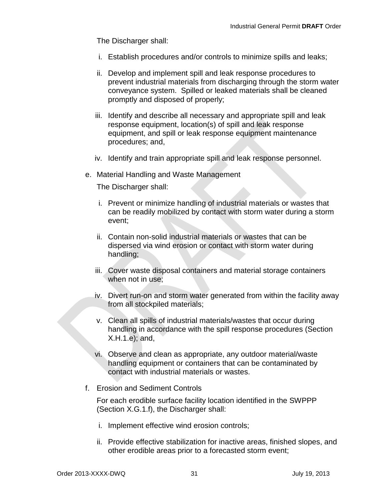The Discharger shall:

- i. Establish procedures and/or controls to minimize spills and leaks;
- ii. Develop and implement spill and leak response procedures to prevent industrial materials from discharging through the storm water conveyance system. Spilled or leaked materials shall be cleaned promptly and disposed of properly;
- iii. Identify and describe all necessary and appropriate spill and leak response equipment, location(s) of spill and leak response equipment, and spill or leak response equipment maintenance procedures; and,
- iv. Identify and train appropriate spill and leak response personnel.
- e. Material Handling and Waste Management

The Discharger shall:

- i. Prevent or minimize handling of industrial materials or wastes that can be readily mobilized by contact with storm water during a storm event;
- ii. Contain non-solid industrial materials or wastes that can be dispersed via wind erosion or contact with storm water during handling;
- iii. Cover waste disposal containers and material storage containers when not in use;
- iv. Divert run-on and storm water generated from within the facility away from all stockpiled materials;
- v. Clean all spills of industrial materials/wastes that occur during handling in accordance with the spill response procedures (Section X.H.1.e); and,
- vi. Observe and clean as appropriate, any outdoor material/waste handling equipment or containers that can be contaminated by contact with industrial materials or wastes.
- f. Erosion and Sediment Controls

For each erodible surface facility location identified in the SWPPP (Section X.G.1.f), the Discharger shall:

- i. Implement effective wind erosion controls;
- ii. Provide effective stabilization for inactive areas, finished slopes, and other erodible areas prior to a forecasted storm event;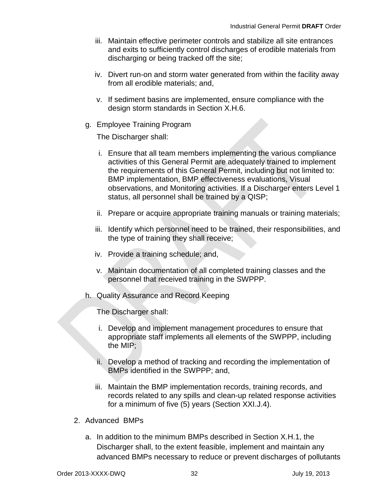- iii. Maintain effective perimeter controls and stabilize all site entrances and exits to sufficiently control discharges of erodible materials from discharging or being tracked off the site;
- iv. Divert run-on and storm water generated from within the facility away from all erodible materials; and,
- v. If sediment basins are implemented, ensure compliance with the design storm standards in Section X.H.6.
- g. Employee Training Program

The Discharger shall:

- i. Ensure that all team members implementing the various compliance activities of this General Permit are adequately trained to implement the requirements of this General Permit, including but not limited to: BMP implementation, BMP effectiveness evaluations, Visual observations, and Monitoring activities. If a Discharger enters Level 1 status, all personnel shall be trained by a QISP;
- ii. Prepare or acquire appropriate training manuals or training materials;
- iii. Identify which personnel need to be trained, their responsibilities, and the type of training they shall receive;
- iv. Provide a training schedule; and,
- v. Maintain documentation of all completed training classes and the personnel that received training in the SWPPP.
- h. Quality Assurance and Record Keeping

The Discharger shall:

- i. Develop and implement management procedures to ensure that appropriate staff implements all elements of the SWPPP, including the MIP;
- ii. Develop a method of tracking and recording the implementation of BMPs identified in the SWPPP; and,
- iii. Maintain the BMP implementation records, training records, and records related to any spills and clean-up related response activities for a minimum of five (5) years (Section XXI.J.4).
- 2. Advanced BMPs
	- a. In addition to the minimum BMPs described in Section X.H.1, the Discharger shall, to the extent feasible, implement and maintain any advanced BMPs necessary to reduce or prevent discharges of pollutants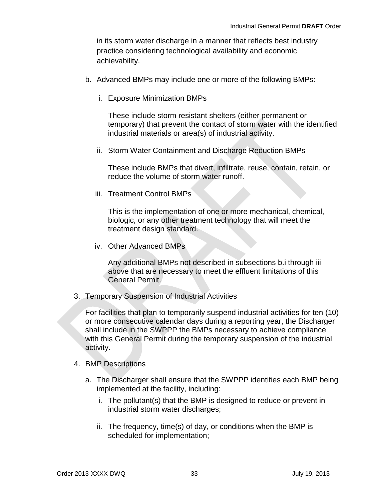in its storm water discharge in a manner that reflects best industry practice considering technological availability and economic achievability.

- b. Advanced BMPs may include one or more of the following BMPs:
	- i. Exposure Minimization BMPs

These include storm resistant shelters (either permanent or temporary) that prevent the contact of storm water with the identified industrial materials or area(s) of industrial activity.

ii. Storm Water Containment and Discharge Reduction BMPs

These include BMPs that divert, infiltrate, reuse, contain, retain, or reduce the volume of storm water runoff.

iii. Treatment Control BMPs

This is the implementation of one or more mechanical, chemical, biologic, or any other treatment technology that will meet the treatment design standard.

iv. Other Advanced BMPs

Any additional BMPs not described in subsections b.i through iii above that are necessary to meet the effluent limitations of this General Permit.

3. Temporary Suspension of Industrial Activities

For facilities that plan to temporarily suspend industrial activities for ten (10) or more consecutive calendar days during a reporting year, the Discharger shall include in the SWPPP the BMPs necessary to achieve compliance with this General Permit during the temporary suspension of the industrial activity.

- 4. BMP Descriptions
	- a. The Discharger shall ensure that the SWPPP identifies each BMP being implemented at the facility, including:
		- i. The pollutant(s) that the BMP is designed to reduce or prevent in industrial storm water discharges;
		- ii. The frequency, time(s) of day, or conditions when the BMP is scheduled for implementation;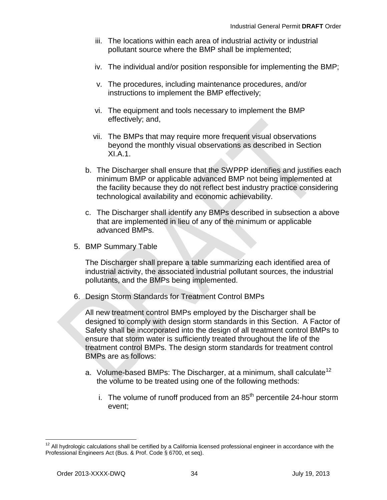- iii. The locations within each area of industrial activity or industrial pollutant source where the BMP shall be implemented;
- iv. The individual and/or position responsible for implementing the BMP;
- v. The procedures, including maintenance procedures, and/or instructions to implement the BMP effectively;
- vi. The equipment and tools necessary to implement the BMP effectively; and,
- vii. The BMPs that may require more frequent visual observations beyond the monthly visual observations as described in Section XI.A.1.
- b. The Discharger shall ensure that the SWPPP identifies and justifies each minimum BMP or applicable advanced BMP not being implemented at the facility because they do not reflect best industry practice considering technological availability and economic achievability.
- c. The Discharger shall identify any BMPs described in subsection a above that are implemented in lieu of any of the minimum or applicable advanced BMPs.
- 5. BMP Summary Table

The Discharger shall prepare a table summarizing each identified area of industrial activity, the associated industrial pollutant sources, the industrial pollutants, and the BMPs being implemented.

6. Design Storm Standards for Treatment Control BMPs

All new treatment control BMPs employed by the Discharger shall be designed to comply with design storm standards in this Section. A Factor of Safety shall be incorporated into the design of all treatment control BMPs to ensure that storm water is sufficiently treated throughout the life of the treatment control BMPs. The design storm standards for treatment control BMPs are as follows:

- a. Volume-based BMPs: The Discharger, at a minimum, shall calculate<sup>[12](#page-35-0)</sup> the volume to be treated using one of the following methods:
	- i. The volume of runoff produced from an  $85<sup>th</sup>$  percentile 24-hour storm event;

<span id="page-35-0"></span> $12$  All hydrologic calculations shall be certified by a California licensed professional engineer in accordance with the Professional Engineers Act (Bus. & Prof. Code § 6700, et seq).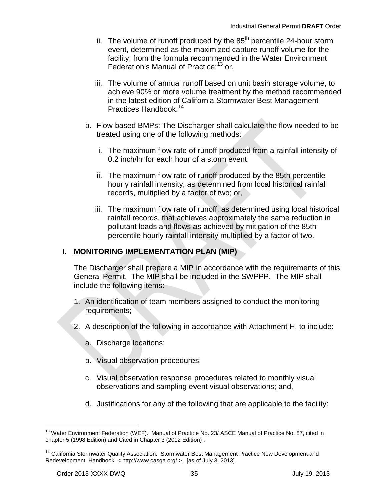- ii. The volume of runoff produced by the  $85<sup>th</sup>$  percentile 24-hour storm event, determined as the maximized capture runoff volume for the facility, from the formula recommended in the Water Environment Federation's Manual of Practice;<sup>[13](#page-36-0)</sup> or,
- iii. The volume of annual runoff based on unit basin storage volume, to achieve 90% or more volume treatment by the method recommended in the latest edition of California Stormwater Best Management Practices Handbook.[14](#page-36-1)
- b. Flow-based BMPs: The Discharger shall calculate the flow needed to be treated using one of the following methods:
	- i. The maximum flow rate of runoff produced from a rainfall intensity of 0.2 inch/hr for each hour of a storm event;
	- ii. The maximum flow rate of runoff produced by the 85th percentile hourly rainfall intensity, as determined from local historical rainfall records, multiplied by a factor of two; or,
	- iii. The maximum flow rate of runoff, as determined using local historical rainfall records, that achieves approximately the same reduction in pollutant loads and flows as achieved by mitigation of the 85th percentile hourly rainfall intensity multiplied by a factor of two.

## **I. MONITORING IMPLEMENTATION PLAN (MIP)**

The Discharger shall prepare a MIP in accordance with the requirements of this General Permit. The MIP shall be included in the SWPPP. The MIP shall include the following items:

- 1. An identification of team members assigned to conduct the monitoring requirements;
- 2. A description of the following in accordance with Attachment H, to include:
	- a. Discharge locations;
	- b. Visual observation procedures;
	- c. Visual observation response procedures related to monthly visual observations and sampling event visual observations; and,
	- d. Justifications for any of the following that are applicable to the facility:

<span id="page-36-0"></span><sup>&</sup>lt;sup>13</sup> Water Environment Federation (WEF). Manual of Practice No. 23/ ASCE Manual of Practice No. 87, cited in chapter 5 (1998 Edition) and Cited in Chapter 3 (2012 Edition) .

<span id="page-36-1"></span><sup>&</sup>lt;sup>14</sup> California Stormwater Quality Association. Stormwater Best Management Practice New Development and Redevelopment Handbook. < http://www.casqa.org/ >. [as of July 3, 2013].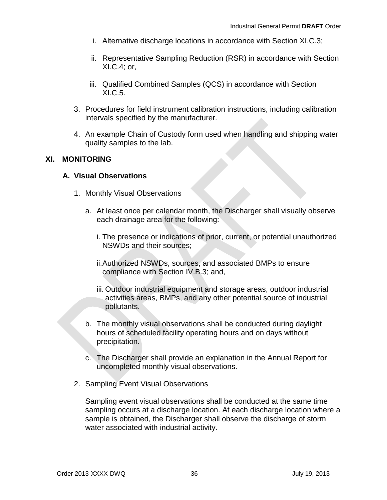- i. Alternative discharge locations in accordance with Section XI.C.3;
- ii. Representative Sampling Reduction (RSR) in accordance with Section XI.C.4; or,
- iii. Qualified Combined Samples (QCS) in accordance with Section XI.C.5.
- 3. Procedures for field instrument calibration instructions, including calibration intervals specified by the manufacturer.
- 4. An example Chain of Custody form used when handling and shipping water quality samples to the lab.

### **XI. MONITORING**

### **A. Visual Observations**

- 1. Monthly Visual Observations
	- a. At least once per calendar month, the Discharger shall visually observe each drainage area for the following:
		- i. The presence or indications of prior, current, or potential unauthorized NSWDs and their sources;
		- ii.Authorized NSWDs, sources, and associated BMPs to ensure compliance with Section IV.B.3; and,
		- iii. Outdoor industrial equipment and storage areas, outdoor industrial activities areas, BMPs, and any other potential source of industrial pollutants.
	- b. The monthly visual observations shall be conducted during daylight hours of scheduled facility operating hours and on days without precipitation.
	- c. The Discharger shall provide an explanation in the Annual Report for uncompleted monthly visual observations.
- 2. Sampling Event Visual Observations

Sampling event visual observations shall be conducted at the same time sampling occurs at a discharge location. At each discharge location where a sample is obtained, the Discharger shall observe the discharge of storm water associated with industrial activity.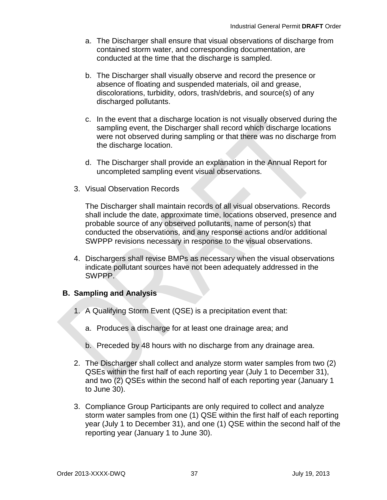- a. The Discharger shall ensure that visual observations of discharge from contained storm water, and corresponding documentation, are conducted at the time that the discharge is sampled.
- b. The Discharger shall visually observe and record the presence or absence of floating and suspended materials, oil and grease, discolorations, turbidity, odors, trash/debris, and source(s) of any discharged pollutants.
- c. In the event that a discharge location is not visually observed during the sampling event, the Discharger shall record which discharge locations were not observed during sampling or that there was no discharge from the discharge location.
- d. The Discharger shall provide an explanation in the Annual Report for uncompleted sampling event visual observations.
- 3. Visual Observation Records

The Discharger shall maintain records of all visual observations. Records shall include the date, approximate time, locations observed, presence and probable source of any observed pollutants, name of person(s) that conducted the observations, and any response actions and/or additional SWPPP revisions necessary in response to the visual observations.

4. Dischargers shall revise BMPs as necessary when the visual observations indicate pollutant sources have not been adequately addressed in the SWPPP.

## **B. Sampling and Analysis**

- 1. A Qualifying Storm Event (QSE) is a precipitation event that:
	- a. Produces a discharge for at least one drainage area; and
	- b. Preceded by 48 hours with no discharge from any drainage area.
- 2. The Discharger shall collect and analyze storm water samples from two (2) QSEs within the first half of each reporting year (July 1 to December 31), and two (2) QSEs within the second half of each reporting year (January 1 to June 30).
- 3. Compliance Group Participants are only required to collect and analyze storm water samples from one (1) QSE within the first half of each reporting year (July 1 to December 31), and one (1) QSE within the second half of the reporting year (January 1 to June 30).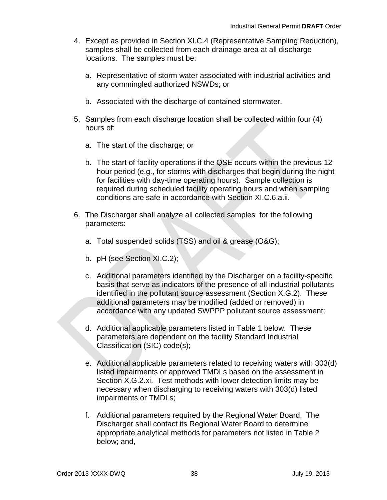- 4. Except as provided in Section XI.C.4 (Representative Sampling Reduction), samples shall be collected from each drainage area at all discharge locations. The samples must be:
	- a. Representative of storm water associated with industrial activities and any commingled authorized NSWDs; or
	- b. Associated with the discharge of contained stormwater.
- 5. Samples from each discharge location shall be collected within four (4) hours of:
	- a. The start of the discharge; or
	- b. The start of facility operations if the QSE occurs within the previous 12 hour period (e.g., for storms with discharges that begin during the night for facilities with day-time operating hours). Sample collection is required during scheduled facility operating hours and when sampling conditions are safe in accordance with Section XI.C.6.a.ii.
- 6. The Discharger shall analyze all collected samples for the following parameters:
	- a. Total suspended solids (TSS) and oil & grease (O&G);
	- b. pH (see Section XI.C.2);
	- c. Additional parameters identified by the Discharger on a facility-specific basis that serve as indicators of the presence of all industrial pollutants identified in the pollutant source assessment (Section X.G.2). These additional parameters may be modified (added or removed) in accordance with any updated SWPPP pollutant source assessment;
	- d. Additional applicable parameters listed in Table 1 below. These parameters are dependent on the facility Standard Industrial Classification (SIC) code(s);
	- e. Additional applicable parameters related to receiving waters with 303(d) listed impairments or approved TMDLs based on the assessment in Section X.G.2.xi. Test methods with lower detection limits may be necessary when discharging to receiving waters with 303(d) listed impairments or TMDLs;
	- f. Additional parameters required by the Regional Water Board. The Discharger shall contact its Regional Water Board to determine appropriate analytical methods for parameters not listed in Table 2 below; and,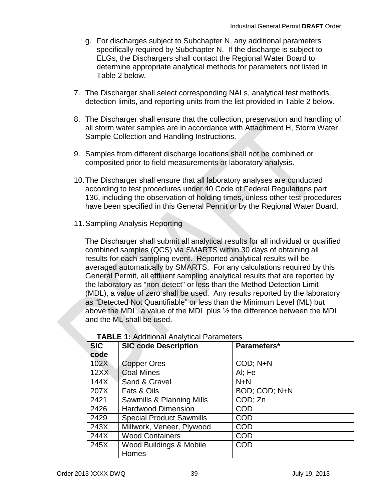- g. For discharges subject to Subchapter N, any additional parameters specifically required by Subchapter N. If the discharge is subject to ELGs, the Dischargers shall contact the Regional Water Board to determine appropriate analytical methods for parameters not listed in Table 2 below.
- 7. The Discharger shall select corresponding NALs, analytical test methods, detection limits, and reporting units from the list provided in Table 2 below.
- 8. The Discharger shall ensure that the collection, preservation and handling of all storm water samples are in accordance with Attachment H, Storm Water Sample Collection and Handling Instructions.
- 9. Samples from different discharge locations shall not be combined or composited prior to field measurements or laboratory analysis.
- 10.The Discharger shall ensure that all laboratory analyses are conducted according to test procedures under 40 Code of Federal Regulations part 136, including the observation of holding times, unless other test procedures have been specified in this General Permit or by the Regional Water Board.
- 11.Sampling Analysis Reporting

The Discharger shall submit all analytical results for all individual or qualified combined samples (QCS) via SMARTS within 30 days of obtaining all results for each sampling event. Reported analytical results will be averaged automatically by SMARTS. For any calculations required by this General Permit, all effluent sampling analytical results that are reported by the laboratory as "non-detect" or less than the Method Detection Limit (MDL), a value of zero shall be used. Any results reported by the laboratory as "Detected Not Quantifiable" or less than the Minimum Level (ML) but above the MDL, a value of the MDL plus ½ the difference between the MDL and the ML shall be used.

| <b>SIC</b> | <b>SIC code Description</b>     | Parameters*   |  |  |
|------------|---------------------------------|---------------|--|--|
| code       |                                 |               |  |  |
| 102X       | <b>Copper Ores</b>              | COD; N+N      |  |  |
| 12XX       | <b>Coal Mines</b>               | AI; Fe        |  |  |
| 144X       | Sand & Gravel                   | $N+N$         |  |  |
| 207X       | Fats & Oils                     | BOD; COD; N+N |  |  |
| 2421       | Sawmills & Planning Mills       | COD; Zn       |  |  |
| 2426       | <b>Hardwood Dimension</b>       | COD           |  |  |
| 2429       | <b>Special Product Sawmills</b> | <b>COD</b>    |  |  |
| 243X       | Millwork, Veneer, Plywood       | <b>COD</b>    |  |  |
| 244X       | <b>Wood Containers</b>          | <b>COD</b>    |  |  |
| 245X       | Wood Buildings & Mobile         | COD           |  |  |
|            | Homes                           |               |  |  |

#### **TABLE 1:** Additional Analytical Parameters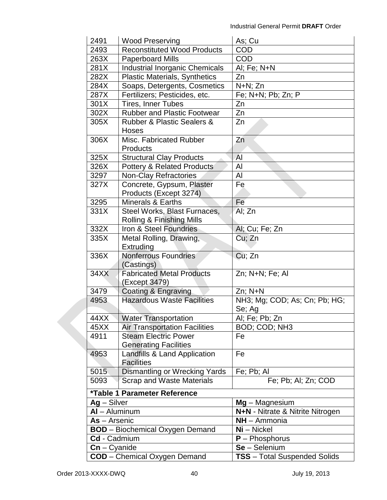| 2491            | <b>Wood Preserving</b>                                   | As; Cu                              |  |  |
|-----------------|----------------------------------------------------------|-------------------------------------|--|--|
| 2493            | Reconstituted Wood Products                              | <b>COD</b>                          |  |  |
| 263X            | <b>Paperboard Mills</b>                                  | <b>COD</b>                          |  |  |
| 281X            | <b>Industrial Inorganic Chemicals</b>                    | Al; Fe; N+N                         |  |  |
| 282X            | <b>Plastic Materials, Synthetics</b>                     | Zn                                  |  |  |
| 284X            | Soaps, Detergents, Cosmetics                             | N+N; Zn                             |  |  |
| 287X            | Fertilizers; Pesticides, etc.                            | Fe; N+N; Pb; Zn; P                  |  |  |
| 301X            | <b>Tires, Inner Tubes</b>                                | Zn                                  |  |  |
| 302X            | <b>Rubber and Plastic Footwear</b>                       | Zn                                  |  |  |
| 305X            | <b>Rubber &amp; Plastic Sealers &amp;</b>                | Zn                                  |  |  |
|                 | Hoses                                                    |                                     |  |  |
| 306X            | Misc. Fabricated Rubber                                  | Zn                                  |  |  |
|                 | Products                                                 |                                     |  |  |
| 325X            | <b>Structural Clay Products</b>                          | AI                                  |  |  |
| 326X            | <b>Pottery &amp; Related Products</b>                    | Al                                  |  |  |
| 3297            | <b>Non-Clay Refractories</b>                             | Al                                  |  |  |
| 327X            | Concrete, Gypsum, Plaster                                | Fe                                  |  |  |
|                 | Products (Except 3274)                                   |                                     |  |  |
| 3295            | <b>Minerals &amp; Earths</b>                             | Fe                                  |  |  |
| 331X            | Steel Works, Blast Furnaces,                             | Al; Zn                              |  |  |
|                 | Rolling & Finishing Mills                                |                                     |  |  |
| 332X            | Iron & Steel Foundries                                   | Al; Cu; Fe; Zn                      |  |  |
| 335X            | Metal Rolling, Drawing,                                  | Cu; Zn                              |  |  |
|                 | Extruding                                                |                                     |  |  |
| 336X            | <b>Nonferrous Foundries</b>                              | Cu; Zn                              |  |  |
|                 | (Castings)                                               |                                     |  |  |
| 34XX            | <b>Fabricated Metal Products</b>                         | Zn; N+N; Fe; Al                     |  |  |
|                 | (Except 3479)                                            | $Zn$ ; $N+N$                        |  |  |
| 3479<br>4953    | Coating & Engraving<br><b>Hazardous Waste Facilities</b> |                                     |  |  |
|                 |                                                          | NH3; Mg; COD; As; Cn; Pb; HG;       |  |  |
| 44XX            | <b>Water Transportation</b>                              | Se; Ag<br>Al; Fe; Pb; Zn            |  |  |
| 45XX            | <b>Air Transportation Facilities</b>                     | BOD; COD; NH3                       |  |  |
| 4911            | <b>Steam Electric Power</b>                              | Fe                                  |  |  |
|                 | <b>Generating Facilities</b>                             |                                     |  |  |
| 4953            | Landfills & Land Application                             | Fe                                  |  |  |
|                 | <b>Facilities</b>                                        |                                     |  |  |
| 5015            | Dismantling or Wrecking Yards                            | Fe; Pb; Al                          |  |  |
| 5093            | <b>Scrap and Waste Materials</b>                         | Fe; Pb; Al; Zn; COD                 |  |  |
|                 |                                                          |                                     |  |  |
|                 | *Table 1 Parameter Reference                             |                                     |  |  |
| $Ag - Silver$   |                                                          | $Mg - Magnesium$                    |  |  |
| $AI - Aluminum$ |                                                          | N+N - Nitrate & Nitrite Nitrogen    |  |  |
| As - Arsenic    |                                                          | NH - Ammonia                        |  |  |
|                 | <b>BOD</b> - Biochemical Oxygen Demand                   | Ni - Nickel                         |  |  |
| Cd - Cadmium    |                                                          | $P - Phosphorus$                    |  |  |
| $Cn - C$ yanide |                                                          | $Se - Selenium$                     |  |  |
|                 | <b>COD</b> - Chemical Oxygen Demand                      | <b>TSS</b> – Total Suspended Solids |  |  |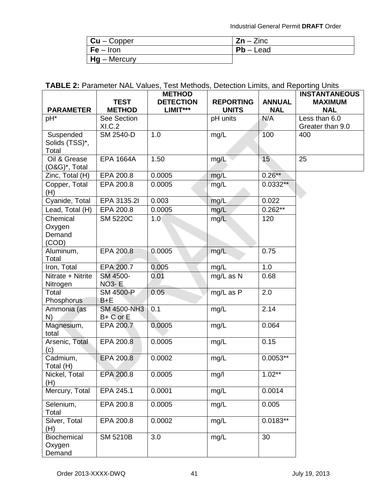Industrial General Permit **DRAFT** Order

| $Cu - Copper$  | $Zn - Zinc$ |
|----------------|-------------|
| $F$ e – Iron   | $Pb -$ Lead |
| $Hg$ – Mercury |             |

# **TABLE 2:** Parameter NAL Values, Test Methods, Detection Limits, and Reporting Units

|                                       | <b>TEST</b>                     | <b>METHOD</b><br><b>DETECTION</b><br>$LIMIT***$ | <b>REPORTING</b><br><b>UNITS</b> | <b>ANNUAL</b><br><b>NAL</b> | <b>INSTANTANEOUS</b><br><b>MAXIMUM</b> |
|---------------------------------------|---------------------------------|-------------------------------------------------|----------------------------------|-----------------------------|----------------------------------------|
| <b>PARAMETER</b><br>pH*               | <b>METHOD</b><br>See Section    |                                                 | pH units                         | N/A                         | <b>NAL</b><br>Less than 6.0            |
|                                       | XI.C.2                          |                                                 |                                  |                             | Greater than 9.0                       |
| Suspended                             | SM 2540-D                       | 1.0                                             | mg/L                             | 100                         | 400                                    |
| Solids (TSS)*,<br>Total               |                                 |                                                 |                                  |                             |                                        |
| Oil & Grease<br>(O&G)*, Total         | <b>EPA 1664A</b>                | 1.50                                            | mg/L                             | 15                          | 25                                     |
| Zinc, Total (H)                       | EPA 200.8                       | 0.0005                                          | mg/L                             | $0.26**$                    |                                        |
| Copper, Total<br>(H)                  | EPA 200.8                       | 0.0005                                          | mg/L                             | $0.0332**$                  |                                        |
| Cyanide, Total                        | EPA 3135.2I                     | 0.003                                           | mg/L                             | 0.022                       |                                        |
| Lead, Total (H)                       | EPA 200.8                       | 0.0005                                          | mg/L                             | $0.262***$                  |                                        |
| Chemical<br>Oxygen<br>Demand<br>(COD) | <b>SM 5220C</b>                 | 1.0 <sub>1</sub>                                | mg/L                             | 120                         |                                        |
| Aluminum,<br>Total                    | EPA 200.8                       | 0.0005                                          | mg/L                             | 0.75                        |                                        |
| Iron, Total                           | EPA 200.7                       | 0.005                                           | mg/L                             | 1.0                         |                                        |
| Nitrate + Nitrite                     | SM 4500-                        | 0.01                                            | mg/L as N                        | 0.68                        |                                        |
| Nitrogen                              | <b>NO3-E</b>                    |                                                 |                                  |                             |                                        |
| Total<br>Phosphorus                   | SM 4500-P<br>$B + E$            | 0.05                                            | mg/L as P                        | $\overline{2.0}$            |                                        |
| Ammonia (as<br>N)                     | <b>SM 4500-NH3</b><br>B+ C or E | 0.1                                             | mg/L                             | 2.14                        |                                        |
| Magnesium,<br>total                   | EPA 200.7                       | 0.0005                                          | mg/L                             | 0.064                       |                                        |
| Arsenic, Total<br>(c)                 | EPA 200.8                       | 0.0005                                          | mg/L                             | 0.15                        |                                        |
| Cadmium,<br>Total (H)                 | EPA 200.8                       | 0.0002                                          | mg/L                             | $0.0053**$                  |                                        |
| Nickel, Total<br>(H)                  | EPA 200.8                       | 0.0005                                          | mg/l                             | $1.02**$                    |                                        |
| Mercury, Total                        | EPA 245.1                       | 0.0001                                          | mg/L                             | 0.0014                      |                                        |
| Selenium,<br>Total                    | EPA 200.8                       | 0.0005                                          | mg/L                             | 0.005                       |                                        |
| Silver, Total<br>(H)                  | EPA 200.8                       | 0.0002                                          | mg/L                             | $0.0183**$                  |                                        |
| Biochemical<br>Oxygen<br>Demand       | <b>SM 5210B</b>                 | 3.0                                             | mg/L                             | 30                          |                                        |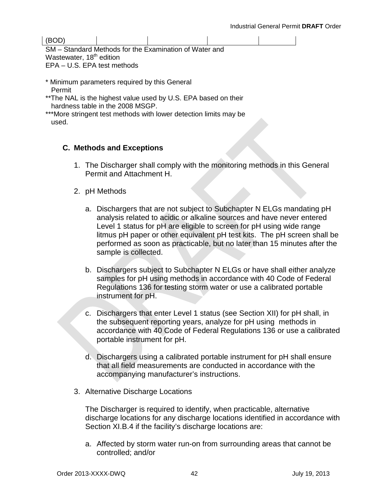(BOD)

SM – Standard Methods for the Examination of Water and Wastewater, 18<sup>th</sup> edition EPA – U.S. EPA test methods

- \* Minimum parameters required by this General Permit
- \*\*The NAL is the highest value used by U.S. EPA based on their hardness table in the 2008 MSGP.
- \*\*\*More stringent test methods with lower detection limits may be used.

# **C. Methods and Exceptions**

- 1. The Discharger shall comply with the monitoring methods in this General Permit and Attachment H.
- 2. pH Methods
	- a. Dischargers that are not subject to Subchapter N ELGs mandating pH analysis related to acidic or alkaline sources and have never entered Level 1 status for pH are eligible to screen for pH using wide range litmus pH paper or other equivalent pH test kits. The pH screen shall be performed as soon as practicable, but no later than 15 minutes after the sample is collected.
	- b. Dischargers subject to Subchapter N ELGs or have shall either analyze samples for pH using methods in accordance with 40 Code of Federal Regulations 136 for testing storm water or use a calibrated portable instrument for pH.
	- c. Dischargers that enter Level 1 status (see Section XII) for pH shall, in the subsequent reporting years, analyze for pH using methods in accordance with 40 Code of Federal Regulations 136 or use a calibrated portable instrument for pH.
	- d. Dischargers using a calibrated portable instrument for pH shall ensure that all field measurements are conducted in accordance with the accompanying manufacturer's instructions.
- 3. Alternative Discharge Locations

The Discharger is required to identify, when practicable, alternative discharge locations for any discharge locations identified in accordance with Section XI.B.4 if the facility's discharge locations are:

a. Affected by storm water run-on from surrounding areas that cannot be controlled; and/or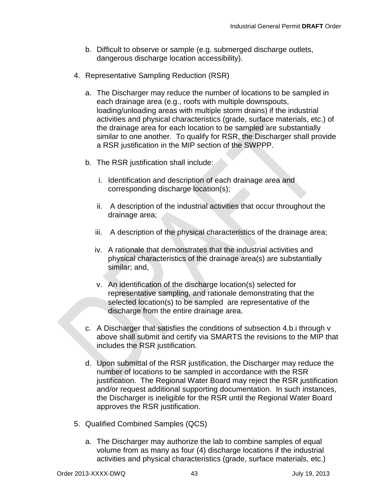- b. Difficult to observe or sample (e.g. submerged discharge outlets, dangerous discharge location accessibility).
- 4. Representative Sampling Reduction (RSR)
	- a. The Discharger may reduce the number of locations to be sampled in each drainage area (e.g., roofs with multiple downspouts, loading/unloading areas with multiple storm drains) if the industrial activities and physical characteristics (grade, surface materials, etc.) of the drainage area for each location to be sampled are substantially similar to one another. To qualify for RSR, the Discharger shall provide a RSR justification in the MIP section of the SWPPP.
	- b. The RSR justification shall include:
		- i. Identification and description of each drainage area and corresponding discharge location(s);
		- ii. A description of the industrial activities that occur throughout the drainage area;
		- iii. A description of the physical characteristics of the drainage area;
		- iv. A rationale that demonstrates that the industrial activities and physical characteristics of the drainage area(s) are substantially similar; and,
		- v. An identification of the discharge location(s) selected for representative sampling, and rationale demonstrating that the selected location(s) to be sampled are representative of the discharge from the entire drainage area.
	- c. A Discharger that satisfies the conditions of subsection 4.b.i through v above shall submit and certify via SMARTS the revisions to the MIP that includes the RSR justification.
	- d. Upon submittal of the RSR justification, the Discharger may reduce the number of locations to be sampled in accordance with the RSR justification. The Regional Water Board may reject the RSR justification and/or request additional supporting documentation. In such instances, the Discharger is ineligible for the RSR until the Regional Water Board approves the RSR justification.
- 5. Qualified Combined Samples (QCS)
	- a. The Discharger may authorize the lab to combine samples of equal volume from as many as four (4) discharge locations if the industrial activities and physical characteristics (grade, surface materials, etc.)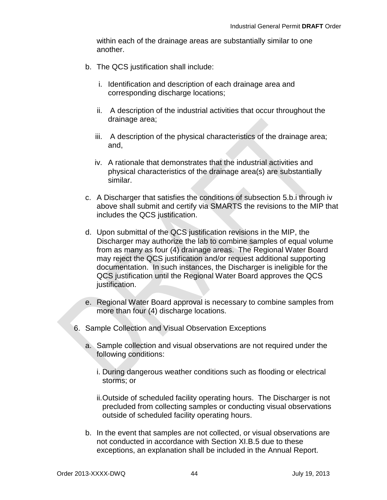within each of the drainage areas are substantially similar to one another.

- b. The QCS justification shall include:
	- i. Identification and description of each drainage area and corresponding discharge locations;
	- ii. A description of the industrial activities that occur throughout the drainage area;
	- iii. A description of the physical characteristics of the drainage area; and,
	- iv. A rationale that demonstrates that the industrial activities and physical characteristics of the drainage area(s) are substantially similar.
- c. A Discharger that satisfies the conditions of subsection 5.b.i through iv above shall submit and certify via SMARTS the revisions to the MIP that includes the QCS justification.
- d. Upon submittal of the QCS justification revisions in the MIP, the Discharger may authorize the lab to combine samples of equal volume from as many as four (4) drainage areas. The Regional Water Board may reject the QCS justification and/or request additional supporting documentation. In such instances, the Discharger is ineligible for the QCS justification until the Regional Water Board approves the QCS justification.
- e. Regional Water Board approval is necessary to combine samples from more than four (4) discharge locations.
- 6. Sample Collection and Visual Observation Exceptions
	- a. Sample collection and visual observations are not required under the following conditions:
		- i. During dangerous weather conditions such as flooding or electrical storms; or
		- ii.Outside of scheduled facility operating hours. The Discharger is not precluded from collecting samples or conducting visual observations outside of scheduled facility operating hours.
	- b. In the event that samples are not collected, or visual observations are not conducted in accordance with Section XI.B.5 due to these exceptions, an explanation shall be included in the Annual Report.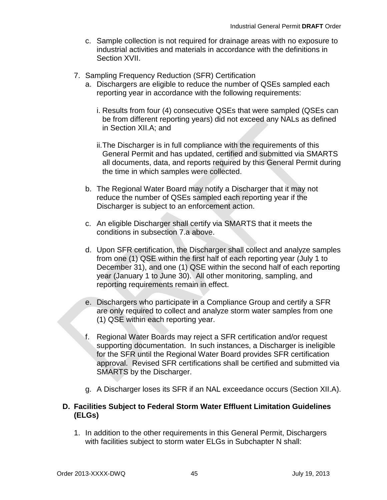- c. Sample collection is not required for drainage areas with no exposure to industrial activities and materials in accordance with the definitions in Section XVII.
- 7. Sampling Frequency Reduction (SFR) Certification
	- a. Dischargers are eligible to reduce the number of QSEs sampled each reporting year in accordance with the following requirements:
		- i. Results from four (4) consecutive QSEs that were sampled (QSEs can be from different reporting years) did not exceed any NALs as defined in Section XII.A; and
		- ii.The Discharger is in full compliance with the requirements of this General Permit and has updated, certified and submitted via SMARTS all documents, data, and reports required by this General Permit during the time in which samples were collected.
	- b. The Regional Water Board may notify a Discharger that it may not reduce the number of QSEs sampled each reporting year if the Discharger is subject to an enforcement action.
	- c. An eligible Discharger shall certify via SMARTS that it meets the conditions in subsection 7.a above.
	- d. Upon SFR certification, the Discharger shall collect and analyze samples from one (1) QSE within the first half of each reporting year (July 1 to December 31), and one (1) QSE within the second half of each reporting year (January 1 to June 30). All other monitoring, sampling, and reporting requirements remain in effect.
	- e. Dischargers who participate in a Compliance Group and certify a SFR are only required to collect and analyze storm water samples from one (1) QSE within each reporting year.
	- f. Regional Water Boards may reject a SFR certification and/or request supporting documentation. In such instances, a Discharger is ineligible for the SFR until the Regional Water Board provides SFR certification approval. Revised SFR certifications shall be certified and submitted via SMARTS by the Discharger.
	- g. A Discharger loses its SFR if an NAL exceedance occurs (Section XII.A).

## **D. Facilities Subject to Federal Storm Water Effluent Limitation Guidelines (ELGs)**

1. In addition to the other requirements in this General Permit, Dischargers with facilities subject to storm water ELGs in Subchapter N shall: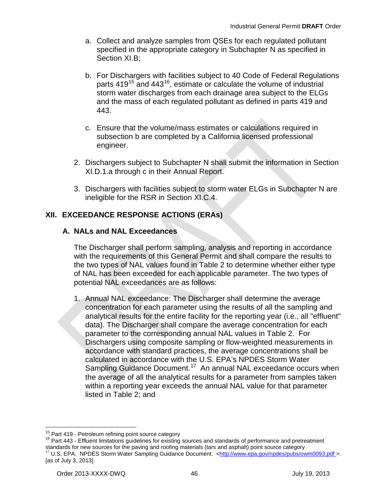- a. Collect and analyze samples from QSEs for each regulated pollutant specified in the appropriate category in Subchapter N as specified in Section XI.B:
- b. For Dischargers with facilities subject to 40 Code of Federal Regulations parts 419<sup>[15](#page-47-0)</sup> and 443<sup>16</sup>, estimate or calculate the volume of industrial storm water discharges from each drainage area subject to the ELGs and the mass of each regulated pollutant as defined in parts 419 and 443.
- c. Ensure that the volume/mass estimates or calculations required in subsection b are completed by a California licensed professional engineer.
- 2. Dischargers subject to Subchapter N shall submit the information in Section XI.D.1.a through c in their Annual Report.
- 3. Dischargers with facilities subject to storm water ELGs in Subchapter N are ineligible for the RSR in Section XI.C.4.

# **XII. EXCEEDANCE RESPONSE ACTIONS (ERAs)**

## **A. NALs and NAL Exceedances**

The Discharger shall perform sampling, analysis and reporting in accordance with the requirements of this General Permit and shall compare the results to the two types of NAL values found in Table 2 to determine whether either type of NAL has been exceeded for each applicable parameter. The two types of potential NAL exceedances are as follows:

1. Annual NAL exceedance: The Discharger shall determine the average concentration for each parameter using the results of all the sampling and analytical results for the entire facility for the reporting year (i.e., all "effluent" data). The Discharger shall compare the average concentration for each parameter to the corresponding annual NAL values in Table 2. For Dischargers using composite sampling or flow-weighted measurements in accordance with standard practices, the average concentrations shall be calculated in accordance with the U.S. EPA's NPDES Storm Water Sampling Guidance Document.<sup>17</sup> An annual NAL exceedance occurs when the average of all the analytical results for a parameter from samples taken within a reporting year exceeds the annual NAL value for that parameter listed in Table 2; and

<span id="page-47-2"></span><span id="page-47-1"></span><span id="page-47-0"></span><sup>15</sup> Part 419 - Petroleum refining point source category<br><sup>16</sup> Part 443 - Effluent limitations guidelines for existing sources and standards of performance and pretreatment standards for new sources for the paving and roofing materials (tars and asphalt) point source category <sup>17</sup> U.S. EPA. NPDES Storm Water Sampling Guidance Document. [<http://www.epa.gov/npdes/pubs/owm0093.pdf](http://www.epa.gov/npdes/pubs/owm0093.pdf) >. [as of July 3, 2013]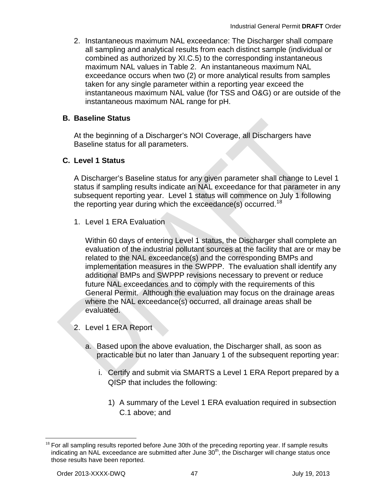2. Instantaneous maximum NAL exceedance: The Discharger shall compare all sampling and analytical results from each distinct sample (individual or combined as authorized by XI.C.5) to the corresponding instantaneous maximum NAL values in Table 2. An instantaneous maximum NAL exceedance occurs when two (2) or more analytical results from samples taken for any single parameter within a reporting year exceed the instantaneous maximum NAL value (for TSS and O&G) or are outside of the instantaneous maximum NAL range for pH.

## **B. Baseline Status**

At the beginning of a Discharger's NOI Coverage, all Dischargers have Baseline status for all parameters.

### **C. Level 1 Status**

A Discharger's Baseline status for any given parameter shall change to Level 1 status if sampling results indicate an NAL exceedance for that parameter in any subsequent reporting year. Level 1 status will commence on July 1 following the reporting year during which the exceedance(s) occurred.<sup>[18](#page-48-0)</sup>

1. Level 1 ERA Evaluation

Within 60 days of entering Level 1 status, the Discharger shall complete an evaluation of the industrial pollutant sources at the facility that are or may be related to the NAL exceedance(s) and the corresponding BMPs and implementation measures in the SWPPP. The evaluation shall identify any additional BMPs and SWPPP revisions necessary to prevent or reduce future NAL exceedances and to comply with the requirements of this General Permit. Although the evaluation may focus on the drainage areas where the NAL exceedance(s) occurred, all drainage areas shall be evaluated.

- 2. Level 1 ERA Report
	- a. Based upon the above evaluation, the Discharger shall, as soon as practicable but no later than January 1 of the subsequent reporting year:
		- i. Certify and submit via SMARTS a Level 1 ERA Report prepared by a QISP that includes the following:
			- 1) A summary of the Level 1 ERA evaluation required in subsection C.1 above; and

<span id="page-48-0"></span> $18$  For all sampling results reported before June 30th of the preceding reporting year. If sample results indicating an NAL exceedance are submitted after June  $30<sup>th</sup>$ , the Discharger will change status once those results have been reported.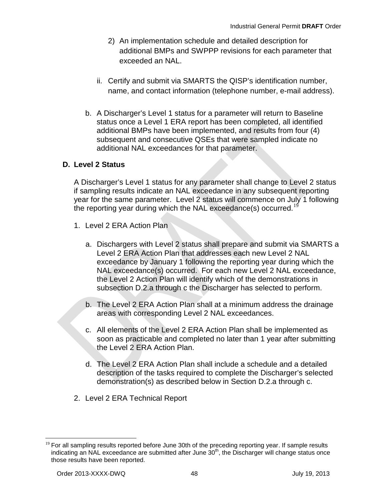- 2) An implementation schedule and detailed description for additional BMPs and SWPPP revisions for each parameter that exceeded an NAL.
- ii. Certify and submit via SMARTS the QISP's identification number, name, and contact information (telephone number, e-mail address).
- b. A Discharger's Level 1 status for a parameter will return to Baseline status once a Level 1 ERA report has been completed, all identified additional BMPs have been implemented, and results from four (4) subsequent and consecutive QSEs that were sampled indicate no additional NAL exceedances for that parameter.

## **D. Level 2 Status**

A Discharger's Level 1 status for any parameter shall change to Level 2 status if sampling results indicate an NAL exceedance in any subsequent reporting year for the same parameter. Level 2 status will commence on July 1 following the reporting year during which the NAL exceedance(s) occurred.<sup>[19](#page-49-0)</sup>

- 1. Level 2 ERA Action Plan
	- a. Dischargers with Level 2 status shall prepare and submit via SMARTS a Level 2 ERA Action Plan that addresses each new Level 2 NAL exceedance by January 1 following the reporting year during which the NAL exceedance(s) occurred. For each new Level 2 NAL exceedance, the Level 2 Action Plan will identify which of the demonstrations in subsection D.2.a through c the Discharger has selected to perform.
	- b. The Level 2 ERA Action Plan shall at a minimum address the drainage areas with corresponding Level 2 NAL exceedances.
	- c. All elements of the Level 2 ERA Action Plan shall be implemented as soon as practicable and completed no later than 1 year after submitting the Level 2 ERA Action Plan.
	- d. The Level 2 ERA Action Plan shall include a schedule and a detailed description of the tasks required to complete the Discharger's selected demonstration(s) as described below in Section D.2.a through c.
- 2. Level 2 ERA Technical Report

<span id="page-49-0"></span> $19$  For all sampling results reported before June 30th of the preceding reporting year. If sample results indicating an NAL exceedance are submitted after June  $30<sup>th</sup>$ , the Discharger will change status once those results have been reported.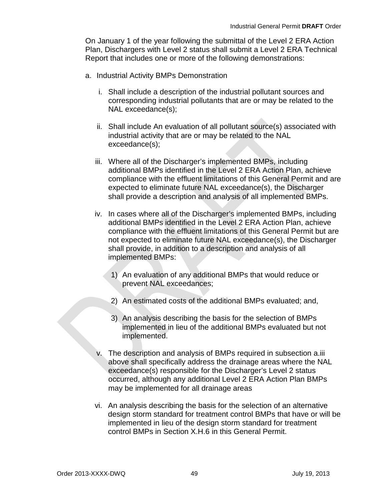On January 1 of the year following the submittal of the Level 2 ERA Action Plan, Dischargers with Level 2 status shall submit a Level 2 ERA Technical Report that includes one or more of the following demonstrations:

- a. Industrial Activity BMPs Demonstration
	- i. Shall include a description of the industrial pollutant sources and corresponding industrial pollutants that are or may be related to the NAL exceedance(s);
	- ii. Shall include An evaluation of all pollutant source(s) associated with industrial activity that are or may be related to the NAL exceedance(s);
	- iii. Where all of the Discharger's implemented BMPs, including additional BMPs identified in the Level 2 ERA Action Plan, achieve compliance with the effluent limitations of this General Permit and are expected to eliminate future NAL exceedance(s), the Discharger shall provide a description and analysis of all implemented BMPs.
	- iv. In cases where all of the Discharger's implemented BMPs, including additional BMPs identified in the Level 2 ERA Action Plan, achieve compliance with the effluent limitations of this General Permit but are not expected to eliminate future NAL exceedance(s), the Discharger shall provide, in addition to a description and analysis of all implemented BMPs:
		- 1) An evaluation of any additional BMPs that would reduce or prevent NAL exceedances;
		- 2) An estimated costs of the additional BMPs evaluated; and,
		- 3) An analysis describing the basis for the selection of BMPs implemented in lieu of the additional BMPs evaluated but not implemented.
	- v. The description and analysis of BMPs required in subsection a.iii above shall specifically address the drainage areas where the NAL exceedance(s) responsible for the Discharger's Level 2 status occurred, although any additional Level 2 ERA Action Plan BMPs may be implemented for all drainage areas
	- vi. An analysis describing the basis for the selection of an alternative design storm standard for treatment control BMPs that have or will be implemented in lieu of the design storm standard for treatment control BMPs in Section X.H.6 in this General Permit.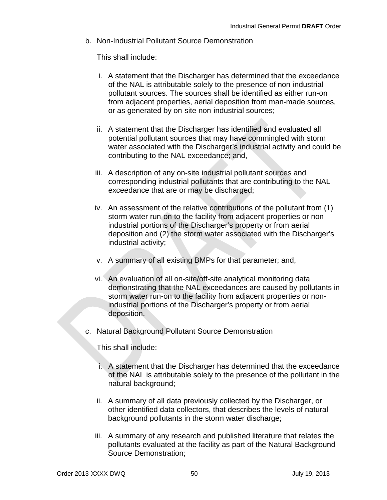b. Non-Industrial Pollutant Source Demonstration

This shall include:

- i. A statement that the Discharger has determined that the exceedance of the NAL is attributable solely to the presence of non-industrial pollutant sources. The sources shall be identified as either run-on from adjacent properties, aerial deposition from man-made sources, or as generated by on-site non-industrial sources;
- ii. A statement that the Discharger has identified and evaluated all potential pollutant sources that may have commingled with storm water associated with the Discharger's industrial activity and could be contributing to the NAL exceedance; and,
- iii. A description of any on-site industrial pollutant sources and corresponding industrial pollutants that are contributing to the NAL exceedance that are or may be discharged;
- iv. An assessment of the relative contributions of the pollutant from (1) storm water run-on to the facility from adjacent properties or nonindustrial portions of the Discharger's property or from aerial deposition and (2) the storm water associated with the Discharger's industrial activity;
- v. A summary of all existing BMPs for that parameter; and,
- vi. An evaluation of all on-site/off-site analytical monitoring data demonstrating that the NAL exceedances are caused by pollutants in storm water run-on to the facility from adjacent properties or nonindustrial portions of the Discharger's property or from aerial deposition.
- c. Natural Background Pollutant Source Demonstration

This shall include:

- i. A statement that the Discharger has determined that the exceedance of the NAL is attributable solely to the presence of the pollutant in the natural background;
- ii. A summary of all data previously collected by the Discharger, or other identified data collectors, that describes the levels of natural background pollutants in the storm water discharge;
- iii. A summary of any research and published literature that relates the pollutants evaluated at the facility as part of the Natural Background Source Demonstration;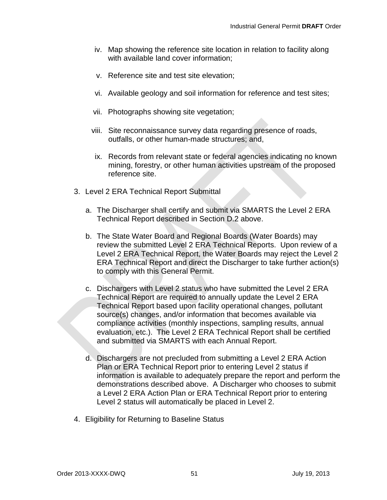- iv. Map showing the reference site location in relation to facility along with available land cover information;
- v. Reference site and test site elevation;
- vi. Available geology and soil information for reference and test sites;
- vii. Photographs showing site vegetation;
- viii. Site reconnaissance survey data regarding presence of roads, outfalls, or other human-made structures; and,
- ix. Records from relevant state or federal agencies indicating no known mining, forestry, or other human activities upstream of the proposed reference site.
- 3. Level 2 ERA Technical Report Submittal
	- a. The Discharger shall certify and submit via SMARTS the Level 2 ERA Technical Report described in Section D.2 above.
	- b. The State Water Board and Regional Boards (Water Boards) may review the submitted Level 2 ERA Technical Reports. Upon review of a Level 2 ERA Technical Report, the Water Boards may reject the Level 2 ERA Technical Report and direct the Discharger to take further action(s) to comply with this General Permit.
	- c. Dischargers with Level 2 status who have submitted the Level 2 ERA Technical Report are required to annually update the Level 2 ERA Technical Report based upon facility operational changes, pollutant source(s) changes, and/or information that becomes available via compliance activities (monthly inspections, sampling results, annual evaluation, etc.). The Level 2 ERA Technical Report shall be certified and submitted via SMARTS with each Annual Report.
	- d. Dischargers are not precluded from submitting a Level 2 ERA Action Plan or ERA Technical Report prior to entering Level 2 status if information is available to adequately prepare the report and perform the demonstrations described above. A Discharger who chooses to submit a Level 2 ERA Action Plan or ERA Technical Report prior to entering Level 2 status will automatically be placed in Level 2.
- 4. Eligibility for Returning to Baseline Status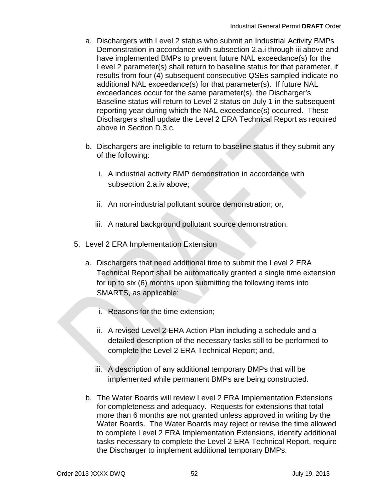- a. Dischargers with Level 2 status who submit an Industrial Activity BMPs Demonstration in accordance with subsection 2.a.i through iii above and have implemented BMPs to prevent future NAL exceedance(s) for the Level 2 parameter(s) shall return to baseline status for that parameter, if results from four (4) subsequent consecutive QSEs sampled indicate no additional NAL exceedance(s) for that parameter(s). If future NAL exceedances occur for the same parameter(s), the Discharger's Baseline status will return to Level 2 status on July 1 in the subsequent reporting year during which the NAL exceedance(s) occurred. These Dischargers shall update the Level 2 ERA Technical Report as required above in Section D.3.c.
- b. Dischargers are ineligible to return to baseline status if they submit any of the following:
	- i. A industrial activity BMP demonstration in accordance with subsection 2.a.iv above;
	- ii. An non-industrial pollutant source demonstration; or,
	- iii. A natural background pollutant source demonstration.
- 5. Level 2 ERA Implementation Extension
	- a. Dischargers that need additional time to submit the Level 2 ERA Technical Report shall be automatically granted a single time extension for up to six (6) months upon submitting the following items into SMARTS, as applicable:
		- i. Reasons for the time extension;
		- ii. A revised Level 2 ERA Action Plan including a schedule and a detailed description of the necessary tasks still to be performed to complete the Level 2 ERA Technical Report; and,
		- iii. A description of any additional temporary BMPs that will be implemented while permanent BMPs are being constructed.
	- b. The Water Boards will review Level 2 ERA Implementation Extensions for completeness and adequacy. Requests for extensions that total more than 6 months are not granted unless approved in writing by the Water Boards. The Water Boards may reject or revise the time allowed to complete Level 2 ERA Implementation Extensions, identify additional tasks necessary to complete the Level 2 ERA Technical Report, require the Discharger to implement additional temporary BMPs.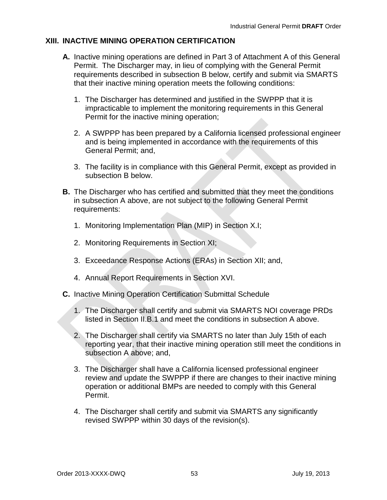## **XIII. INACTIVE MINING OPERATION CERTIFICATION**

- **A.** Inactive mining operations are defined in Part 3 of Attachment A of this General Permit. The Discharger may, in lieu of complying with the General Permit requirements described in subsection B below, certify and submit via SMARTS that their inactive mining operation meets the following conditions:
	- 1. The Discharger has determined and justified in the SWPPP that it is impracticable to implement the monitoring requirements in this General Permit for the inactive mining operation;
	- 2. A SWPPP has been prepared by a California licensed professional engineer and is being implemented in accordance with the requirements of this General Permit; and,
	- 3. The facility is in compliance with this General Permit, except as provided in subsection B below.
- **B.** The Discharger who has certified and submitted that they meet the conditions in subsection A above, are not subject to the following General Permit requirements:
	- 1. Monitoring Implementation Plan (MIP) in Section X.I;
	- 2. Monitoring Requirements in Section XI;
	- 3. Exceedance Response Actions (ERAs) in Section XII; and,
	- 4. Annual Report Requirements in Section XVI.
- **C.** Inactive Mining Operation Certification Submittal Schedule
	- 1. The Discharger shall certify and submit via SMARTS NOI coverage PRDs listed in Section II.B.1 and meet the conditions in subsection A above.
	- 2. The Discharger shall certify via SMARTS no later than July 15th of each reporting year, that their inactive mining operation still meet the conditions in subsection A above; and,
	- 3. The Discharger shall have a California licensed professional engineer review and update the SWPPP if there are changes to their inactive mining operation or additional BMPs are needed to comply with this General Permit.
	- 4. The Discharger shall certify and submit via SMARTS any significantly revised SWPPP within 30 days of the revision(s).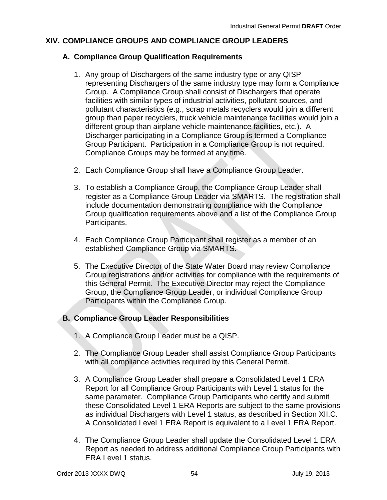# **XIV. COMPLIANCE GROUPS AND COMPLIANCE GROUP LEADERS**

## **A. Compliance Group Qualification Requirements**

- 1. Any group of Dischargers of the same industry type or any QISP representing Dischargers of the same industry type may form a Compliance Group. A Compliance Group shall consist of Dischargers that operate facilities with similar types of industrial activities, pollutant sources, and pollutant characteristics (e.g., scrap metals recyclers would join a different group than paper recyclers, truck vehicle maintenance facilities would join a different group than airplane vehicle maintenance facilities, etc.). A Discharger participating in a Compliance Group is termed a Compliance Group Participant. Participation in a Compliance Group is not required. Compliance Groups may be formed at any time.
- 2. Each Compliance Group shall have a Compliance Group Leader.
- 3. To establish a Compliance Group, the Compliance Group Leader shall register as a Compliance Group Leader via SMARTS. The registration shall include documentation demonstrating compliance with the Compliance Group qualification requirements above and a list of the Compliance Group Participants.
- 4. Each Compliance Group Participant shall register as a member of an established Compliance Group via SMARTS.
- 5. The Executive Director of the State Water Board may review Compliance Group registrations and/or activities for compliance with the requirements of this General Permit. The Executive Director may reject the Compliance Group, the Compliance Group Leader, or individual Compliance Group Participants within the Compliance Group.

# **B. Compliance Group Leader Responsibilities**

- 1. A Compliance Group Leader must be a QISP.
- 2. The Compliance Group Leader shall assist Compliance Group Participants with all compliance activities required by this General Permit.
- 3. A Compliance Group Leader shall prepare a Consolidated Level 1 ERA Report for all Compliance Group Participants with Level 1 status for the same parameter. Compliance Group Participants who certify and submit these Consolidated Level 1 ERA Reports are subject to the same provisions as individual Dischargers with Level 1 status, as described in Section XII.C. A Consolidated Level 1 ERA Report is equivalent to a Level 1 ERA Report.
- 4. The Compliance Group Leader shall update the Consolidated Level 1 ERA Report as needed to address additional Compliance Group Participants with ERA Level 1 status.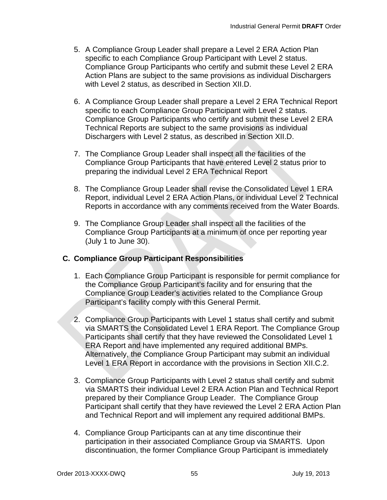- 5. A Compliance Group Leader shall prepare a Level 2 ERA Action Plan specific to each Compliance Group Participant with Level 2 status. Compliance Group Participants who certify and submit these Level 2 ERA Action Plans are subject to the same provisions as individual Dischargers with Level 2 status, as described in Section XII.D.
- 6. A Compliance Group Leader shall prepare a Level 2 ERA Technical Report specific to each Compliance Group Participant with Level 2 status. Compliance Group Participants who certify and submit these Level 2 ERA Technical Reports are subject to the same provisions as individual Dischargers with Level 2 status, as described in Section XII.D.
- 7. The Compliance Group Leader shall inspect all the facilities of the Compliance Group Participants that have entered Level 2 status prior to preparing the individual Level 2 ERA Technical Report
- 8. The Compliance Group Leader shall revise the Consolidated Level 1 ERA Report, individual Level 2 ERA Action Plans, or individual Level 2 Technical Reports in accordance with any comments received from the Water Boards.
- 9. The Compliance Group Leader shall inspect all the facilities of the Compliance Group Participants at a minimum of once per reporting year (July 1 to June 30).

## **C. Compliance Group Participant Responsibilities**

- 1. Each Compliance Group Participant is responsible for permit compliance for the Compliance Group Participant's facility and for ensuring that the Compliance Group Leader's activities related to the Compliance Group Participant's facility comply with this General Permit.
- 2. Compliance Group Participants with Level 1 status shall certify and submit via SMARTS the Consolidated Level 1 ERA Report. The Compliance Group Participants shall certify that they have reviewed the Consolidated Level 1 ERA Report and have implemented any required additional BMPs. Alternatively, the Compliance Group Participant may submit an individual Level 1 ERA Report in accordance with the provisions in Section XII.C.2.
- 3. Compliance Group Participants with Level 2 status shall certify and submit via SMARTS their individual Level 2 ERA Action Plan and Technical Report prepared by their Compliance Group Leader. The Compliance Group Participant shall certify that they have reviewed the Level 2 ERA Action Plan and Technical Report and will implement any required additional BMPs.
- 4. Compliance Group Participants can at any time discontinue their participation in their associated Compliance Group via SMARTS. Upon discontinuation, the former Compliance Group Participant is immediately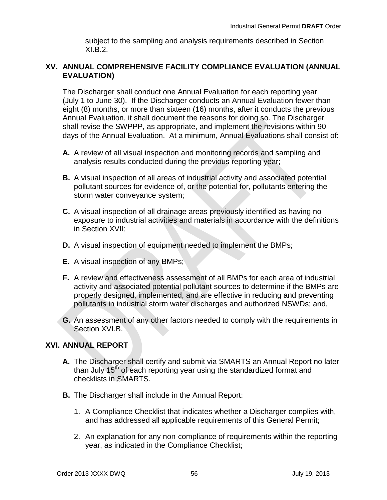subject to the sampling and analysis requirements described in Section XI.B.2.

### **XV. ANNUAL COMPREHENSIVE FACILITY COMPLIANCE EVALUATION (ANNUAL EVALUATION)**

The Discharger shall conduct one Annual Evaluation for each reporting year (July 1 to June 30). If the Discharger conducts an Annual Evaluation fewer than eight (8) months, or more than sixteen (16) months, after it conducts the previous Annual Evaluation, it shall document the reasons for doing so. The Discharger shall revise the SWPPP, as appropriate, and implement the revisions within 90 days of the Annual Evaluation. At a minimum, Annual Evaluations shall consist of:

- **A.** A review of all visual inspection and monitoring records and sampling and analysis results conducted during the previous reporting year;
- **B.** A visual inspection of all areas of industrial activity and associated potential pollutant sources for evidence of, or the potential for, pollutants entering the storm water conveyance system;
- **C.** A visual inspection of all drainage areas previously identified as having no exposure to industrial activities and materials in accordance with the definitions in Section XVII;
- **D.** A visual inspection of equipment needed to implement the BMPs;
- **E.** A visual inspection of any BMPs;
- **F.** A review and effectiveness assessment of all BMPs for each area of industrial activity and associated potential pollutant sources to determine if the BMPs are properly designed, implemented, and are effective in reducing and preventing pollutants in industrial storm water discharges and authorized NSWDs; and,
- **G.** An assessment of any other factors needed to comply with the requirements in Section XVI.B.

## **XVI. ANNUAL REPORT**

- **A.** The Discharger shall certify and submit via SMARTS an Annual Report no later than July  $15<sup>th</sup>$  of each reporting year using the standardized format and checklists in SMARTS.
- **B.** The Discharger shall include in the Annual Report:
	- 1. A Compliance Checklist that indicates whether a Discharger complies with, and has addressed all applicable requirements of this General Permit;
	- 2. An explanation for any non-compliance of requirements within the reporting year, as indicated in the Compliance Checklist;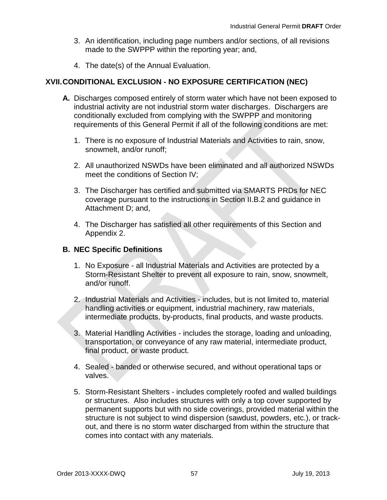- 3. An identification, including page numbers and/or sections, of all revisions made to the SWPPP within the reporting year; and,
- 4. The date(s) of the Annual Evaluation.

## **XVII.CONDITIONAL EXCLUSION - NO EXPOSURE CERTIFICATION (NEC)**

- **A.** Discharges composed entirely of storm water which have not been exposed to industrial activity are not industrial storm water discharges. Dischargers are conditionally excluded from complying with the SWPPP and monitoring requirements of this General Permit if all of the following conditions are met:
	- 1. There is no exposure of Industrial Materials and Activities to rain, snow, snowmelt, and/or runoff;
	- 2. All unauthorized NSWDs have been eliminated and all authorized NSWDs meet the conditions of Section IV;
	- 3. The Discharger has certified and submitted via SMARTS PRDs for NEC coverage pursuant to the instructions in Section II.B.2 and guidance in Attachment D; and,
	- 4. The Discharger has satisfied all other requirements of this Section and Appendix 2.

## **B. NEC Specific Definitions**

- 1. No Exposure all Industrial Materials and Activities are protected by a Storm-Resistant Shelter to prevent all exposure to rain, snow, snowmelt, and/or runoff.
- 2. Industrial Materials and Activities includes, but is not limited to, material handling activities or equipment, industrial machinery, raw materials, intermediate products, by-products, final products, and waste products.
- 3. Material Handling Activities includes the storage, loading and unloading, transportation, or conveyance of any raw material, intermediate product, final product, or waste product.
- 4. Sealed banded or otherwise secured, and without operational taps or valves.
- 5. Storm-Resistant Shelters includes completely roofed and walled buildings or structures. Also includes structures with only a top cover supported by permanent supports but with no side coverings, provided material within the structure is not subject to wind dispersion (sawdust, powders, etc.), or trackout, and there is no storm water discharged from within the structure that comes into contact with any materials.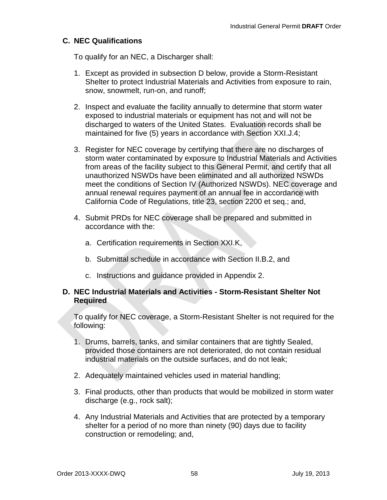## **C. NEC Qualifications**

To qualify for an NEC, a Discharger shall:

- 1. Except as provided in subsection D below, provide a Storm-Resistant Shelter to protect Industrial Materials and Activities from exposure to rain, snow, snowmelt, run-on, and runoff;
- 2. Inspect and evaluate the facility annually to determine that storm water exposed to industrial materials or equipment has not and will not be discharged to waters of the United States. Evaluation records shall be maintained for five (5) years in accordance with Section XXI.J.4;
- 3. Register for NEC coverage by certifying that there are no discharges of storm water contaminated by exposure to Industrial Materials and Activities from areas of the facility subject to this General Permit, and certify that all unauthorized NSWDs have been eliminated and all authorized NSWDs meet the conditions of Section IV (Authorized NSWDs). NEC coverage and annual renewal requires payment of an annual fee in accordance with California Code of Regulations, title 23, section 2200 et seq.; and,
- 4. Submit PRDs for NEC coverage shall be prepared and submitted in accordance with the:
	- a. Certification requirements in Section XXI.K,
	- b. Submittal schedule in accordance with Section II.B.2, and
	- c. Instructions and guidance provided in Appendix 2.

#### **D. NEC Industrial Materials and Activities - Storm-Resistant Shelter Not Required**

To qualify for NEC coverage, a Storm-Resistant Shelter is not required for the following:

- 1. Drums, barrels, tanks, and similar containers that are tightly Sealed, provided those containers are not deteriorated, do not contain residual industrial materials on the outside surfaces, and do not leak;
- 2. Adequately maintained vehicles used in material handling;
- 3. Final products, other than products that would be mobilized in storm water discharge (e.g., rock salt);
- 4. Any Industrial Materials and Activities that are protected by a temporary shelter for a period of no more than ninety (90) days due to facility construction or remodeling; and,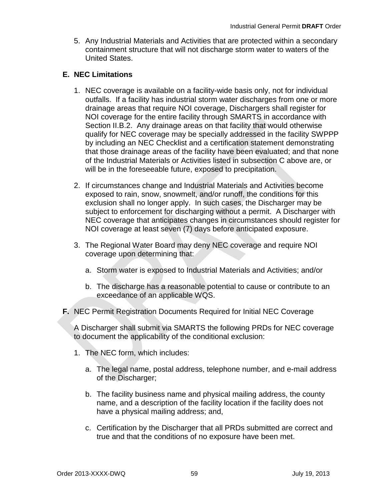5. Any Industrial Materials and Activities that are protected within a secondary containment structure that will not discharge storm water to waters of the United States.

### **E. NEC Limitations**

- 1. NEC coverage is available on a facility-wide basis only, not for individual outfalls. If a facility has industrial storm water discharges from one or more drainage areas that require NOI coverage, Dischargers shall register for NOI coverage for the entire facility through SMARTS in accordance with Section II.B.2. Any drainage areas on that facility that would otherwise qualify for NEC coverage may be specially addressed in the facility SWPPP by including an NEC Checklist and a certification statement demonstrating that those drainage areas of the facility have been evaluated; and that none of the Industrial Materials or Activities listed in subsection C above are, or will be in the foreseeable future, exposed to precipitation.
- 2. If circumstances change and Industrial Materials and Activities become exposed to rain, snow, snowmelt, and/or runoff, the conditions for this exclusion shall no longer apply. In such cases, the Discharger may be subject to enforcement for discharging without a permit. A Discharger with NEC coverage that anticipates changes in circumstances should register for NOI coverage at least seven (7) days before anticipated exposure.
- 3. The Regional Water Board may deny NEC coverage and require NOI coverage upon determining that:
	- a. Storm water is exposed to Industrial Materials and Activities; and/or
	- b. The discharge has a reasonable potential to cause or contribute to an exceedance of an applicable WQS.
- **F.** NEC Permit Registration Documents Required for Initial NEC Coverage

A Discharger shall submit via SMARTS the following PRDs for NEC coverage to document the applicability of the conditional exclusion:

- 1. The NEC form, which includes:
	- a. The legal name, postal address, telephone number, and e-mail address of the Discharger;
	- b. The facility business name and physical mailing address, the county name, and a description of the facility location if the facility does not have a physical mailing address; and,
	- c. Certification by the Discharger that all PRDs submitted are correct and true and that the conditions of no exposure have been met.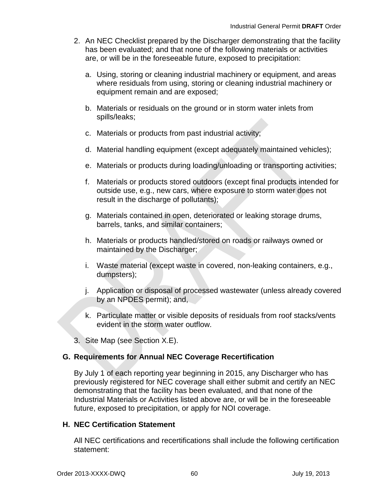- 2. An NEC Checklist prepared by the Discharger demonstrating that the facility has been evaluated; and that none of the following materials or activities are, or will be in the foreseeable future, exposed to precipitation:
	- a. Using, storing or cleaning industrial machinery or equipment, and areas where residuals from using, storing or cleaning industrial machinery or equipment remain and are exposed;
	- b. Materials or residuals on the ground or in storm water inlets from spills/leaks;
	- c. Materials or products from past industrial activity;
	- d. Material handling equipment (except adequately maintained vehicles);
	- e. Materials or products during loading/unloading or transporting activities;
	- f. Materials or products stored outdoors (except final products intended for outside use, e.g., new cars, where exposure to storm water does not result in the discharge of pollutants);
	- g. Materials contained in open, deteriorated or leaking storage drums, barrels, tanks, and similar containers;
	- h. Materials or products handled/stored on roads or railways owned or maintained by the Discharger;
	- i. Waste material (except waste in covered, non-leaking containers, e.g., dumpsters);
	- j. Application or disposal of processed wastewater (unless already covered by an NPDES permit); and,
	- k. Particulate matter or visible deposits of residuals from roof stacks/vents evident in the storm water outflow.
- 3. Site Map (see Section X.E).

## **G. Requirements for Annual NEC Coverage Recertification**

By July 1 of each reporting year beginning in 2015, any Discharger who has previously registered for NEC coverage shall either submit and certify an NEC demonstrating that the facility has been evaluated, and that none of the Industrial Materials or Activities listed above are, or will be in the foreseeable future, exposed to precipitation, or apply for NOI coverage.

## **H. NEC Certification Statement**

All NEC certifications and recertifications shall include the following certification statement: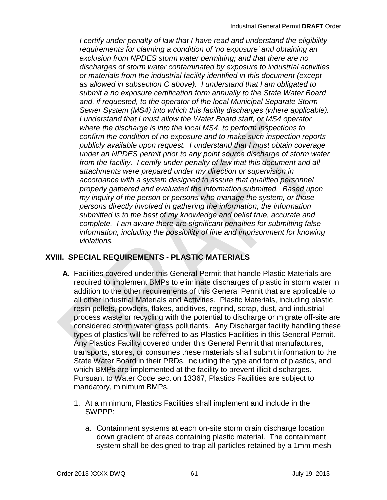*I certify under penalty of law that I have read and understand the eligibility requirements for claiming a condition of 'no exposure' and obtaining an exclusion from NPDES storm water permitting; and that there are no discharges of storm water contaminated by exposure to industrial activities or materials from the industrial facility identified in this document (except as allowed in subsection C above). I understand that I am obligated to submit a no exposure certification form annually to the State Water Board and, if requested, to the operator of the local Municipal Separate Storm Sewer System (MS4) into which this facility discharges (where applicable). I understand that I must allow the Water Board staff, or MS4 operator where the discharge is into the local MS4, to perform inspections to confirm the condition of no exposure and to make such inspection reports publicly available upon request. I understand that I must obtain coverage under an NPDES permit prior to any point source discharge of storm water from the facility. I certify under penalty of law that this document and all attachments were prepared under my direction or supervision in accordance with a system designed to assure that qualified personnel properly gathered and evaluated the information submitted. Based upon my inquiry of the person or persons who manage the system, or those persons directly involved in gathering the information, the information submitted is to the best of my knowledge and belief true, accurate and complete. I am aware there are significant penalties for submitting false information, including the possibility of fine and imprisonment for knowing violations.*

# **XVIII. SPECIAL REQUIREMENTS - PLASTIC MATERIALS**

- **A.** Facilities covered under this General Permit that handle Plastic Materials are required to implement BMPs to eliminate discharges of plastic in storm water in addition to the other requirements of this General Permit that are applicable to all other Industrial Materials and Activities. Plastic Materials, including plastic resin pellets, powders, flakes, additives, regrind, scrap, dust, and industrial process waste or recycling with the potential to discharge or migrate off-site are considered storm water gross pollutants. Any Discharger facility handling these types of plastics will be referred to as Plastics Facilities in this General Permit. Any Plastics Facility covered under this General Permit that manufactures, transports, stores, or consumes these materials shall submit information to the State Water Board in their PRDs, including the type and form of plastics, and which BMPs are implemented at the facility to prevent illicit discharges. Pursuant to Water Code section 13367, Plastics Facilities are subject to mandatory, minimum BMPs.
	- 1. At a minimum, Plastics Facilities shall implement and include in the SWPPP:
		- a. Containment systems at each on-site storm drain discharge location down gradient of areas containing plastic material. The containment system shall be designed to trap all particles retained by a 1mm mesh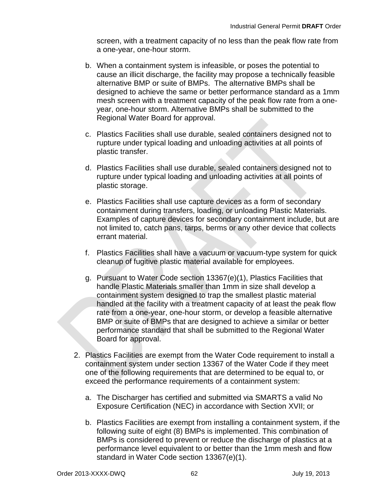screen, with a treatment capacity of no less than the peak flow rate from a one-year, one-hour storm.

- b. When a containment system is infeasible, or poses the potential to cause an illicit discharge, the facility may propose a technically feasible alternative BMP or suite of BMPs. The alternative BMPs shall be designed to achieve the same or better performance standard as a 1mm mesh screen with a treatment capacity of the peak flow rate from a oneyear, one-hour storm. Alternative BMPs shall be submitted to the Regional Water Board for approval.
- c. Plastics Facilities shall use durable, sealed containers designed not to rupture under typical loading and unloading activities at all points of plastic transfer.
- d. Plastics Facilities shall use durable, sealed containers designed not to rupture under typical loading and unloading activities at all points of plastic storage.
- e. Plastics Facilities shall use capture devices as a form of secondary containment during transfers, loading, or unloading Plastic Materials. Examples of capture devices for secondary containment include, but are not limited to, catch pans, tarps, berms or any other device that collects errant material.
- f. Plastics Facilities shall have a vacuum or vacuum-type system for quick cleanup of fugitive plastic material available for employees.
- g. Pursuant to Water Code section 13367(e)(1), Plastics Facilities that handle Plastic Materials smaller than 1mm in size shall develop a containment system designed to trap the smallest plastic material handled at the facility with a treatment capacity of at least the peak flow rate from a one-year, one-hour storm, or develop a feasible alternative BMP or suite of BMPs that are designed to achieve a similar or better performance standard that shall be submitted to the Regional Water Board for approval.
- 2. Plastics Facilities are exempt from the Water Code requirement to install a containment system under section 13367 of the Water Code if they meet one of the following requirements that are determined to be equal to, or exceed the performance requirements of a containment system:
	- a. The Discharger has certified and submitted via SMARTS a valid No Exposure Certification (NEC) in accordance with Section XVII; or
	- b. Plastics Facilities are exempt from installing a containment system, if the following suite of eight (8) BMPs is implemented. This combination of BMPs is considered to prevent or reduce the discharge of plastics at a performance level equivalent to or better than the 1mm mesh and flow standard in Water Code section 13367(e)(1).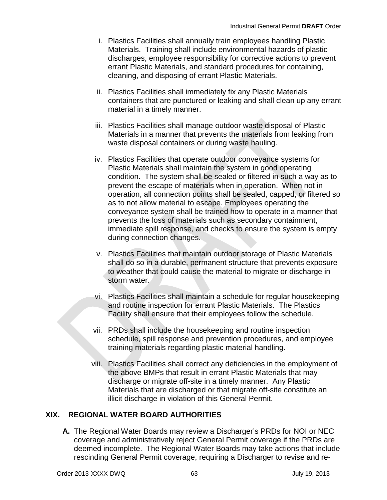- i. Plastics Facilities shall annually train employees handling Plastic Materials. Training shall include environmental hazards of plastic discharges, employee responsibility for corrective actions to prevent errant Plastic Materials, and standard procedures for containing, cleaning, and disposing of errant Plastic Materials.
- ii. Plastics Facilities shall immediately fix any Plastic Materials containers that are punctured or leaking and shall clean up any errant material in a timely manner.
- iii. Plastics Facilities shall manage outdoor waste disposal of Plastic Materials in a manner that prevents the materials from leaking from waste disposal containers or during waste hauling.
- iv. Plastics Facilities that operate outdoor conveyance systems for Plastic Materials shall maintain the system in good operating condition. The system shall be sealed or filtered in such a way as to prevent the escape of materials when in operation. When not in operation, all connection points shall be sealed, capped, or filtered so as to not allow material to escape. Employees operating the conveyance system shall be trained how to operate in a manner that prevents the loss of materials such as secondary containment, immediate spill response, and checks to ensure the system is empty during connection changes.
- v. Plastics Facilities that maintain outdoor storage of Plastic Materials shall do so in a durable, permanent structure that prevents exposure to weather that could cause the material to migrate or discharge in storm water.
- vi. Plastics Facilities shall maintain a schedule for regular housekeeping and routine inspection for errant Plastic Materials. The Plastics Facility shall ensure that their employees follow the schedule.
- vii. PRDs shall include the housekeeping and routine inspection schedule, spill response and prevention procedures, and employee training materials regarding plastic material handling.
- viii. Plastics Facilities shall correct any deficiencies in the employment of the above BMPs that result in errant Plastic Materials that may discharge or migrate off-site in a timely manner. Any Plastic Materials that are discharged or that migrate off-site constitute an illicit discharge in violation of this General Permit.

# **XIX. REGIONAL WATER BOARD AUTHORITIES**

**A.** The Regional Water Boards may review a Discharger's PRDs for NOI or NEC coverage and administratively reject General Permit coverage if the PRDs are deemed incomplete. The Regional Water Boards may take actions that include rescinding General Permit coverage, requiring a Discharger to revise and re-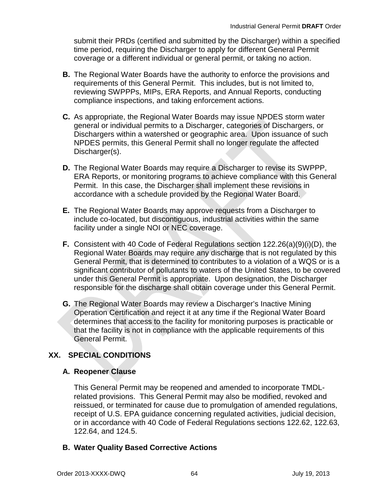submit their PRDs (certified and submitted by the Discharger) within a specified time period, requiring the Discharger to apply for different General Permit coverage or a different individual or general permit, or taking no action.

- **B.** The Regional Water Boards have the authority to enforce the provisions and requirements of this General Permit. This includes, but is not limited to, reviewing SWPPPs, MIPs, ERA Reports, and Annual Reports, conducting compliance inspections, and taking enforcement actions.
- **C.** As appropriate, the Regional Water Boards may issue NPDES storm water general or individual permits to a Discharger, categories of Dischargers, or Dischargers within a watershed or geographic area. Upon issuance of such NPDES permits, this General Permit shall no longer regulate the affected Discharger(s).
- **D.** The Regional Water Boards may require a Discharger to revise its SWPPP, ERA Reports, or monitoring programs to achieve compliance with this General Permit. In this case, the Discharger shall implement these revisions in accordance with a schedule provided by the Regional Water Board.
- **E.** The Regional Water Boards may approve requests from a Discharger to include co-located, but discontiguous, industrial activities within the same facility under a single NOI or NEC coverage.
- **F.** Consistent with 40 Code of Federal Regulations section 122.26(a)(9)(i)(D), the Regional Water Boards may require any discharge that is not regulated by this General Permit, that is determined to contributes to a violation of a WQS or is a significant contributor of pollutants to waters of the United States, to be covered under this General Permit is appropriate. Upon designation, the Discharger responsible for the discharge shall obtain coverage under this General Permit.
- **G.** The Regional Water Boards may review a Discharger's Inactive Mining Operation Certification and reject it at any time if the Regional Water Board determines that access to the facility for monitoring purposes is practicable or that the facility is not in compliance with the applicable requirements of this General Permit.

# **XX. SPECIAL CONDITIONS**

## **A. Reopener Clause**

This General Permit may be reopened and amended to incorporate TMDLrelated provisions. This General Permit may also be modified, revoked and reissued, or terminated for cause due to promulgation of amended regulations, receipt of U.S. EPA guidance concerning regulated activities, judicial decision, or in accordance with 40 Code of Federal Regulations sections 122.62, 122.63, 122.64, and 124.5.

## **B. Water Quality Based Corrective Actions**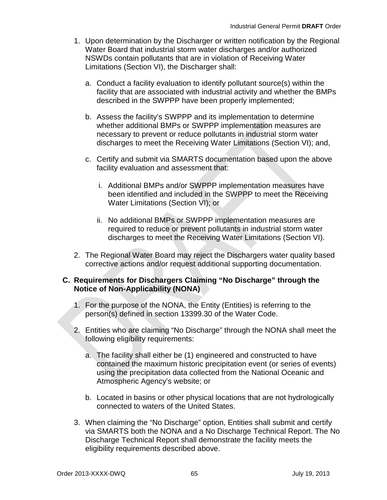- 1. Upon determination by the Discharger or written notification by the Regional Water Board that industrial storm water discharges and/or authorized NSWDs contain pollutants that are in violation of Receiving Water Limitations (Section VI), the Discharger shall:
	- a. Conduct a facility evaluation to identify pollutant source(s) within the facility that are associated with industrial activity and whether the BMPs described in the SWPPP have been properly implemented;
	- b. Assess the facility's SWPPP and its implementation to determine whether additional BMPs or SWPPP implementation measures are necessary to prevent or reduce pollutants in industrial storm water discharges to meet the Receiving Water Limitations (Section VI); and,
	- c. Certify and submit via SMARTS documentation based upon the above facility evaluation and assessment that:
		- i. Additional BMPs and/or SWPPP implementation measures have been identified and included in the SWPPP to meet the Receiving Water Limitations (Section VI); or
		- ii. No additional BMPs or SWPPP implementation measures are required to reduce or prevent pollutants in industrial storm water discharges to meet the Receiving Water Limitations (Section VI).
- 2. The Regional Water Board may reject the Dischargers water quality based corrective actions and/or request additional supporting documentation.

### **C. Requirements for Dischargers Claiming "No Discharge" through the Notice of Non-Applicability (NONA)**

- 1. For the purpose of the NONA, the Entity (Entities) is referring to the person(s) defined in section 13399.30 of the Water Code.
- 2. Entities who are claiming "No Discharge" through the NONA shall meet the following eligibility requirements:
	- a. The facility shall either be (1) engineered and constructed to have contained the maximum historic precipitation event (or series of events) using the precipitation data collected from the National Oceanic and Atmospheric Agency's website; or
	- b. Located in basins or other physical locations that are not hydrologically connected to waters of the United States.
- 3. When claiming the "No Discharge" option, Entities shall submit and certify via SMARTS both the NONA and a No Discharge Technical Report. The No Discharge Technical Report shall demonstrate the facility meets the eligibility requirements described above.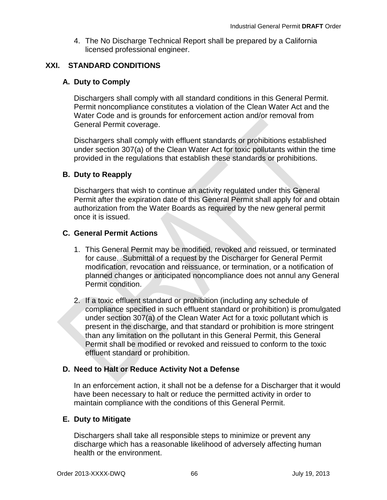4. The No Discharge Technical Report shall be prepared by a California licensed professional engineer.

## **XXI. STANDARD CONDITIONS**

### **A. Duty to Comply**

Dischargers shall comply with all standard conditions in this General Permit. Permit noncompliance constitutes a violation of the Clean Water Act and the Water Code and is grounds for enforcement action and/or removal from General Permit coverage.

Dischargers shall comply with effluent standards or prohibitions established under section 307(a) of the Clean Water Act for toxic pollutants within the time provided in the regulations that establish these standards or prohibitions.

### **B. Duty to Reapply**

Dischargers that wish to continue an activity regulated under this General Permit after the expiration date of this General Permit shall apply for and obtain authorization from the Water Boards as required by the new general permit once it is issued.

#### **C. General Permit Actions**

- 1. This General Permit may be modified, revoked and reissued, or terminated for cause. Submittal of a request by the Discharger for General Permit modification, revocation and reissuance, or termination, or a notification of planned changes or anticipated noncompliance does not annul any General Permit condition.
- 2. If a toxic effluent standard or prohibition (including any schedule of compliance specified in such effluent standard or prohibition) is promulgated under section 307(a) of the Clean Water Act for a toxic pollutant which is present in the discharge, and that standard or prohibition is more stringent than any limitation on the pollutant in this General Permit, this General Permit shall be modified or revoked and reissued to conform to the toxic effluent standard or prohibition.

#### **D. Need to Halt or Reduce Activity Not a Defense**

In an enforcement action, it shall not be a defense for a Discharger that it would have been necessary to halt or reduce the permitted activity in order to maintain compliance with the conditions of this General Permit.

#### **E. Duty to Mitigate**

Dischargers shall take all responsible steps to minimize or prevent any discharge which has a reasonable likelihood of adversely affecting human health or the environment.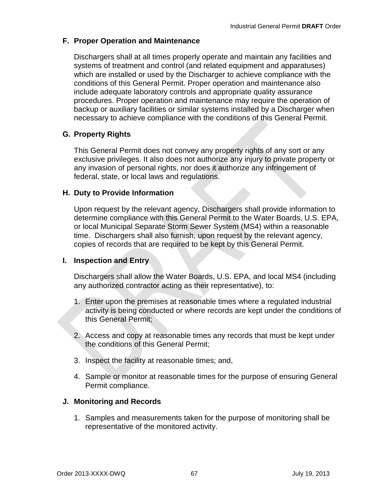## **F. Proper Operation and Maintenance**

Dischargers shall at all times properly operate and maintain any facilities and systems of treatment and control (and related equipment and apparatuses) which are installed or used by the Discharger to achieve compliance with the conditions of this General Permit. Proper operation and maintenance also include adequate laboratory controls and appropriate quality assurance procedures. Proper operation and maintenance may require the operation of backup or auxiliary facilities or similar systems installed by a Discharger when necessary to achieve compliance with the conditions of this General Permit.

### **G. Property Rights**

This General Permit does not convey any property rights of any sort or any exclusive privileges. It also does not authorize any injury to private property or any invasion of personal rights, nor does it authorize any infringement of federal, state, or local laws and regulations.

#### **H. Duty to Provide Information**

Upon request by the relevant agency, Dischargers shall provide information to determine compliance with this General Permit to the Water Boards, U.S. EPA, or local Municipal Separate Storm Sewer System (MS4) within a reasonable time. Dischargers shall also furnish, upon request by the relevant agency, copies of records that are required to be kept by this General Permit.

#### **I. Inspection and Entry**

Dischargers shall allow the Water Boards, U.S. EPA, and local MS4 (including any authorized contractor acting as their representative), to:

- 1. Enter upon the premises at reasonable times where a regulated industrial activity is being conducted or where records are kept under the conditions of this General Permit;
- 2. Access and copy at reasonable times any records that must be kept under the conditions of this General Permit;
- 3. Inspect the facility at reasonable times; and,
- 4. Sample or monitor at reasonable times for the purpose of ensuring General Permit compliance.

#### **J. Monitoring and Records**

1. Samples and measurements taken for the purpose of monitoring shall be representative of the monitored activity.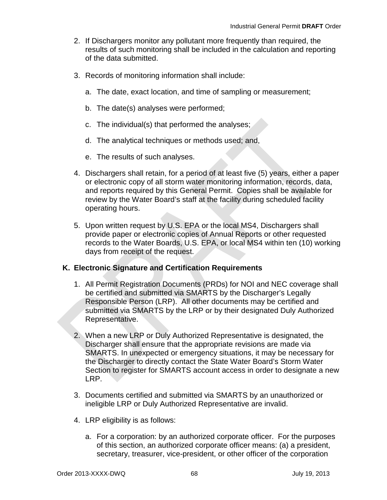- 2. If Dischargers monitor any pollutant more frequently than required, the results of such monitoring shall be included in the calculation and reporting of the data submitted.
- 3. Records of monitoring information shall include:
	- a. The date, exact location, and time of sampling or measurement;
	- b. The date(s) analyses were performed;
	- c. The individual(s) that performed the analyses;
	- d. The analytical techniques or methods used; and,
	- e. The results of such analyses.
- 4. Dischargers shall retain, for a period of at least five (5) years, either a paper or electronic copy of all storm water monitoring information, records, data, and reports required by this General Permit. Copies shall be available for review by the Water Board's staff at the facility during scheduled facility operating hours.
- 5. Upon written request by U.S. EPA or the local MS4, Dischargers shall provide paper or electronic copies of Annual Reports or other requested records to the Water Boards, U.S. EPA, or local MS4 within ten (10) working days from receipt of the request.

## **K. Electronic Signature and Certification Requirements**

- 1. All Permit Registration Documents (PRDs) for NOI and NEC coverage shall be certified and submitted via SMARTS by the Discharger's Legally Responsible Person (LRP). All other documents may be certified and submitted via SMARTS by the LRP or by their designated Duly Authorized Representative.
- 2. When a new LRP or Duly Authorized Representative is designated, the Discharger shall ensure that the appropriate revisions are made via SMARTS. In unexpected or emergency situations, it may be necessary for the Discharger to directly contact the State Water Board's Storm Water Section to register for SMARTS account access in order to designate a new LRP.
- 3. Documents certified and submitted via SMARTS by an unauthorized or ineligible LRP or Duly Authorized Representative are invalid.
- 4. LRP eligibility is as follows:
	- a. For a corporation: by an authorized corporate officer. For the purposes of this section, an authorized corporate officer means: (a) a president, secretary, treasurer, vice-president, or other officer of the corporation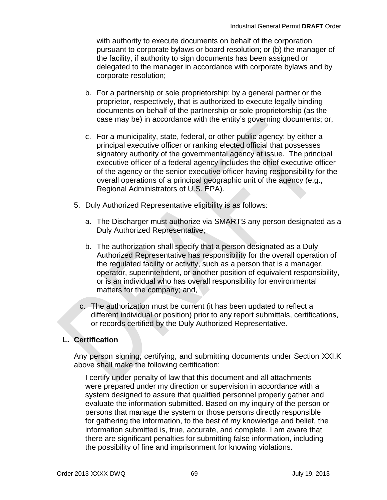with authority to execute documents on behalf of the corporation pursuant to corporate bylaws or board resolution; or (b) the manager of the facility, if authority to sign documents has been assigned or delegated to the manager in accordance with corporate bylaws and by corporate resolution;

- b. For a partnership or sole proprietorship: by a general partner or the proprietor, respectively, that is authorized to execute legally binding documents on behalf of the partnership or sole proprietorship (as the case may be) in accordance with the entity's governing documents; or,
- c. For a municipality, state, federal, or other public agency: by either a principal executive officer or ranking elected official that possesses signatory authority of the governmental agency at issue. The principal executive officer of a federal agency includes the chief executive officer of the agency or the senior executive officer having responsibility for the overall operations of a principal geographic unit of the agency (e.g., Regional Administrators of U.S. EPA).
- 5. Duly Authorized Representative eligibility is as follows:
	- a. The Discharger must authorize via SMARTS any person designated as a Duly Authorized Representative;
	- b. The authorization shall specify that a person designated as a Duly Authorized Representative has responsibility for the overall operation of the regulated facility or activity, such as a person that is a manager, operator, superintendent, or another position of equivalent responsibility, or is an individual who has overall responsibility for environmental matters for the company; and,
	- c. The authorization must be current (it has been updated to reflect a different individual or position) prior to any report submittals, certifications, or records certified by the Duly Authorized Representative.

## **L. Certification**

Any person signing, certifying, and submitting documents under Section XXI.K above shall make the following certification:

I certify under penalty of law that this document and all attachments were prepared under my direction or supervision in accordance with a system designed to assure that qualified personnel properly gather and evaluate the information submitted. Based on my inquiry of the person or persons that manage the system or those persons directly responsible for gathering the information, to the best of my knowledge and belief, the information submitted is, true, accurate, and complete. I am aware that there are significant penalties for submitting false information, including the possibility of fine and imprisonment for knowing violations.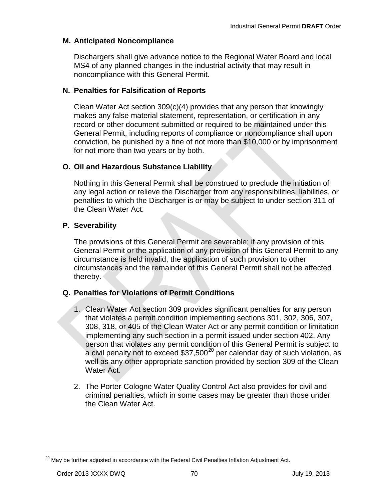## **M. Anticipated Noncompliance**

Dischargers shall give advance notice to the Regional Water Board and local MS4 of any planned changes in the industrial activity that may result in noncompliance with this General Permit.

### **N. Penalties for Falsification of Reports**

Clean Water Act section 309(c)(4) provides that any person that knowingly makes any false material statement, representation, or certification in any record or other document submitted or required to be maintained under this General Permit, including reports of compliance or noncompliance shall upon conviction, be punished by a fine of not more than \$10,000 or by imprisonment for not more than two years or by both.

### **O. Oil and Hazardous Substance Liability**

Nothing in this General Permit shall be construed to preclude the initiation of any legal action or relieve the Discharger from any responsibilities, liabilities, or penalties to which the Discharger is or may be subject to under section 311 of the Clean Water Act.

### **P. Severability**

The provisions of this General Permit are severable; if any provision of this General Permit or the application of any provision of this General Permit to any circumstance is held invalid, the application of such provision to other circumstances and the remainder of this General Permit shall not be affected thereby.

## **Q. Penalties for Violations of Permit Conditions**

- 1. Clean Water Act section 309 provides significant penalties for any person that violates a permit condition implementing sections 301, 302, 306, 307, 308, 318, or 405 of the Clean Water Act or any permit condition or limitation implementing any such section in a permit issued under section 402. Any person that violates any permit condition of this General Permit is subject to a civil penalty not to exceed  $$37,500^{20}$  $$37,500^{20}$  $$37,500^{20}$  per calendar day of such violation, as well as any other appropriate sanction provided by section 309 of the Clean Water Act.
- 2. The Porter-Cologne Water Quality Control Act also provides for civil and criminal penalties, which in some cases may be greater than those under the Clean Water Act.

<span id="page-71-0"></span> $^{20}$  Mav be further adjusted in accordance with the Federal Civil Penalties Inflation Adjustment Act.